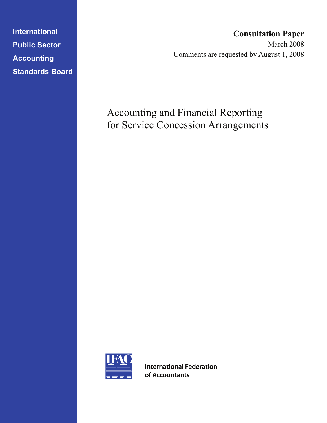**International Public Sector Accounting Standards Board** 

# **Consultation Paper**

March 2008 Comments are requested by August 1, 2008

# Accounting and Financial Reporting for Service Concession Arrangements



**International Federation** of Accountants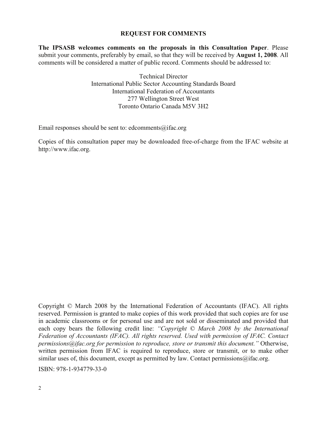#### **REQUEST FOR COMMENTS**

**The IPSASB welcomes comments on the proposals in this Consultation Paper**. Please submit your comments, preferably by email, so that they will be received by **August 1, 2008**. All comments will be considered a matter of public record. Comments should be addressed to:

> Technical Director International Public Sector Accounting Standards Board International Federation of Accountants 277 Wellington Street West Toronto Ontario Canada M5V 3H2

Email responses should be sent to: edcomments $\omega$  ifac.org

Copies of this consultation paper may be downloaded free-of-charge from the IFAC website at http://www.ifac.org.

Copyright © March 2008 by the International Federation of Accountants (IFAC). All rights reserved. Permission is granted to make copies of this work provided that such copies are for use in academic classrooms or for personal use and are not sold or disseminated and provided that each copy bears the following credit line: *"Copyright © March 2008 by the International Federation of Accountants (IFAC). All rights reserved. Used with permission of IFAC. Contact permissions@ifac.org for permission to reproduce, store or transmit this document."* Otherwise, written permission from IFAC is required to reproduce, store or transmit, or to make other similar uses of, this document, except as permitted by law. Contact permissions $@$ ifac.org.

ISBN: 978-1-934779-33-0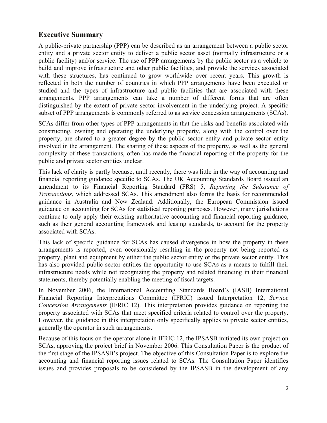# **Executive Summary**

A public-private partnership (PPP) can be described as an arrangement between a public sector entity and a private sector entity to deliver a public sector asset (normally infrastructure or a public facility) and/or service. The use of PPP arrangements by the public sector as a vehicle to build and improve infrastructure and other public facilities, and provide the services associated with these structures, has continued to grow worldwide over recent years. This growth is reflected in both the number of countries in which PPP arrangements have been executed or studied and the types of infrastructure and public facilities that are associated with these arrangements. PPP arrangements can take a number of different forms that are often distinguished by the extent of private sector involvement in the underlying project. A specific subset of PPP arrangements is commonly referred to as service concession arrangements (SCAs).

SCAs differ from other types of PPP arrangements in that the risks and benefits associated with constructing, owning and operating the underlying property, along with the control over the property, are shared to a greater degree by the public sector entity and private sector entity involved in the arrangement. The sharing of these aspects of the property, as well as the general complexity of these transactions, often has made the financial reporting of the property for the public and private sector entities unclear.

This lack of clarity is partly because, until recently, there was little in the way of accounting and financial reporting guidance specific to SCAs. The UK Accounting Standards Board issued an amendment to its Financial Reporting Standard (FRS) 5, *Reporting the Substance of Transactions*, which addressed SCAs. This amendment also forms the basis for recommended guidance in Australia and New Zealand. Additionally, the European Commission issued guidance on accounting for SCAs for statistical reporting purposes. However, many jurisdictions continue to only apply their existing authoritative accounting and financial reporting guidance, such as their general accounting framework and leasing standards, to account for the property associated with SCAs.

This lack of specific guidance for SCAs has caused divergence in how the property in these arrangements is reported, even occasionally resulting in the property not being reported as property, plant and equipment by either the public sector entity or the private sector entity. This has also provided public sector entities the opportunity to use SCAs as a means to fulfill their infrastructure needs while not recognizing the property and related financing in their financial statements, thereby potentially enabling the meeting of fiscal targets.

In November 2006, the International Accounting Standards Board's (IASB) International Financial Reporting Interpretations Committee (IFRIC) issued Interpretation 12, *Service Concession Arrangements* (IFRIC 12). This interpretation provides guidance on reporting the property associated with SCAs that meet specified criteria related to control over the property. However, the guidance in this interpretation only specifically applies to private sector entities, generally the operator in such arrangements.

Because of this focus on the operator alone in IFRIC 12, the IPSASB initiated its own project on SCAs, approving the project brief in November 2006. This Consultation Paper is the product of the first stage of the IPSASB's project. The objective of this Consultation Paper is to explore the accounting and financial reporting issues related to SCAs. The Consultation Paper identifies issues and provides proposals to be considered by the IPSASB in the development of any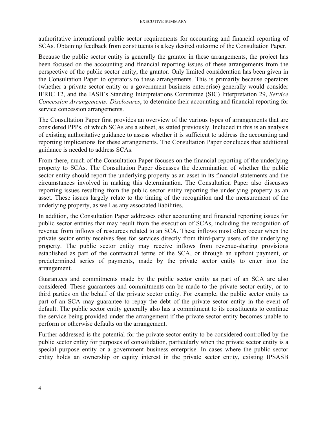#### EXECUTIVE SUMMARY

authoritative international public sector requirements for accounting and financial reporting of SCAs. Obtaining feedback from constituents is a key desired outcome of the Consultation Paper.

Because the public sector entity is generally the grantor in these arrangements, the project has been focused on the accounting and financial reporting issues of these arrangements from the perspective of the public sector entity, the grantor. Only limited consideration has been given in the Consultation Paper to operators to these arrangements. This is primarily because operators (whether a private sector entity or a government business enterprise) generally would consider IFRIC 12, and the IASB's Standing Interpretations Committee (SIC) Interpretation 29, *Service Concession Arrangements: Disclosures*, to determine their accounting and financial reporting for service concession arrangements.

The Consultation Paper first provides an overview of the various types of arrangements that are considered PPPs, of which SCAs are a subset, as stated previously. Included in this is an analysis of existing authoritative guidance to assess whether it is sufficient to address the accounting and reporting implications for these arrangements. The Consultation Paper concludes that additional guidance is needed to address SCAs.

From there, much of the Consultation Paper focuses on the financial reporting of the underlying property to SCAs. The Consultation Paper discusses the determination of whether the public sector entity should report the underlying property as an asset in its financial statements and the circumstances involved in making this determination. The Consultation Paper also discusses reporting issues resulting from the public sector entity reporting the underlying property as an asset. These issues largely relate to the timing of the recognition and the measurement of the underlying property, as well as any associated liabilities.

In addition, the Consultation Paper addresses other accounting and financial reporting issues for public sector entities that may result from the execution of SCAs, including the recognition of revenue from inflows of resources related to an SCA. These inflows most often occur when the private sector entity receives fees for services directly from third-party users of the underlying property. The public sector entity may receive inflows from revenue-sharing provisions established as part of the contractual terms of the SCA, or through an upfront payment, or predetermined series of payments, made by the private sector entity to enter into the arrangement.

Guarantees and commitments made by the public sector entity as part of an SCA are also considered. These guarantees and commitments can be made to the private sector entity, or to third parties on the behalf of the private sector entity. For example, the public sector entity as part of an SCA may guarantee to repay the debt of the private sector entity in the event of default. The public sector entity generally also has a commitment to its constituents to continue the service being provided under the arrangement if the private sector entity becomes unable to perform or otherwise defaults on the arrangement.

Further addressed is the potential for the private sector entity to be considered controlled by the public sector entity for purposes of consolidation, particularly when the private sector entity is a special purpose entity or a government business enterprise. In cases where the public sector entity holds an ownership or equity interest in the private sector entity, existing IPSASB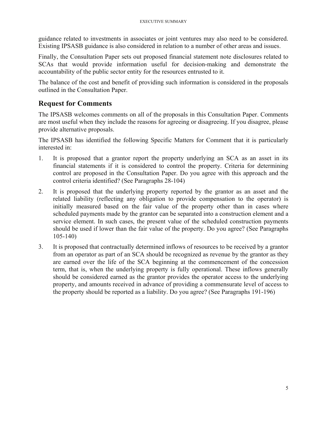guidance related to investments in associates or joint ventures may also need to be considered. Existing IPSASB guidance is also considered in relation to a number of other areas and issues.

Finally, the Consultation Paper sets out proposed financial statement note disclosures related to SCAs that would provide information useful for decision-making and demonstrate the accountability of the public sector entity for the resources entrusted to it.

The balance of the cost and benefit of providing such information is considered in the proposals outlined in the Consultation Paper.

# **Request for Comments**

The IPSASB welcomes comments on all of the proposals in this Consultation Paper. Comments are most useful when they include the reasons for agreeing or disagreeing. If you disagree, please provide alternative proposals.

The IPSASB has identified the following Specific Matters for Comment that it is particularly interested in:

- 1. It is proposed that a grantor report the property underlying an SCA as an asset in its financial statements if it is considered to control the property. Criteria for determining control are proposed in the Consultation Paper. Do you agree with this approach and the control criteria identified? (See Paragraphs 28-104)
- 2. It is proposed that the underlying property reported by the grantor as an asset and the related liability (reflecting any obligation to provide compensation to the operator) is initially measured based on the fair value of the property other than in cases where scheduled payments made by the grantor can be separated into a construction element and a service element. In such cases, the present value of the scheduled construction payments should be used if lower than the fair value of the property. Do you agree? (See Paragraphs 105-140)
- 3. It is proposed that contractually determined inflows of resources to be received by a grantor from an operator as part of an SCA should be recognized as revenue by the grantor as they are earned over the life of the SCA beginning at the commencement of the concession term, that is, when the underlying property is fully operational. These inflows generally should be considered earned as the grantor provides the operator access to the underlying property, and amounts received in advance of providing a commensurate level of access to the property should be reported as a liability. Do you agree? (See Paragraphs 191-196)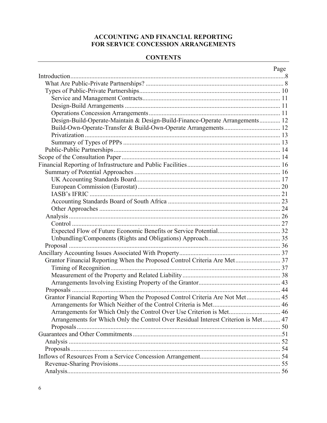### **ACCOUNTING AND FINANCIAL REPORTING** FOR SERVICE CONCESSION ARRANGEMENTS

#### **CONTENTS**

|                                                                                    | Page |
|------------------------------------------------------------------------------------|------|
|                                                                                    |      |
|                                                                                    |      |
|                                                                                    |      |
|                                                                                    |      |
|                                                                                    |      |
|                                                                                    |      |
| Design-Build-Operate-Maintain & Design-Build-Finance-Operate Arrangements 12       |      |
|                                                                                    |      |
|                                                                                    |      |
|                                                                                    |      |
|                                                                                    |      |
|                                                                                    |      |
|                                                                                    |      |
|                                                                                    |      |
|                                                                                    |      |
|                                                                                    |      |
| <b>IASB's IFRIC</b>                                                                |      |
|                                                                                    |      |
|                                                                                    |      |
|                                                                                    |      |
|                                                                                    |      |
|                                                                                    |      |
|                                                                                    |      |
|                                                                                    |      |
|                                                                                    |      |
| Grantor Financial Reporting When the Proposed Control Criteria Are Met 37          |      |
|                                                                                    |      |
|                                                                                    |      |
|                                                                                    |      |
|                                                                                    |      |
| Grantor Financial Reporting When the Proposed Control Criteria Are Not Met 45      |      |
|                                                                                    |      |
| Arrangements for Which Only the Control Over Use Criterion is Met 46               |      |
| Arrangements for Which Only the Control Over Residual Interest Criterion is Met 47 |      |
|                                                                                    |      |
|                                                                                    |      |
|                                                                                    |      |
|                                                                                    |      |
|                                                                                    |      |
|                                                                                    |      |
|                                                                                    |      |
|                                                                                    |      |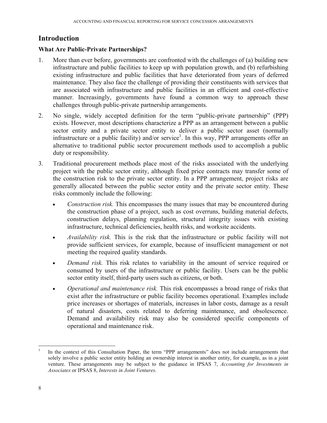# **Introduction**

#### **What Are Public-Private Partnerships?**

- 1. More than ever before, governments are confronted with the challenges of (a) building new infrastructure and public facilities to keep up with population growth, and (b) refurbishing existing infrastructure and public facilities that have deteriorated from years of deferred maintenance. They also face the challenge of providing their constituents with services that are associated with infrastructure and public facilities in an efficient and cost-effective manner. Increasingly, governments have found a common way to approach these challenges through public-private partnership arrangements.
- 2. No single, widely accepted definition for the term "public-private partnership" (PPP) exists. However, most descriptions characterize a PPP as an arrangement between a public sector entity and a private sector entity to deliver a public sector asset (normally infrastructure or a public facility) and/or service<sup>1</sup>. In this way, PPP arrangements offer an alternative to traditional public sector procurement methods used to accomplish a public duty or responsibility.
- 3. Traditional procurement methods place most of the risks associated with the underlying project with the public sector entity, although fixed price contracts may transfer some of the construction risk to the private sector entity. In a PPP arrangement, project risks are generally allocated between the public sector entity and the private sector entity. These risks commonly include the following:
	- *Construction risk.* This encompasses the many issues that may be encountered during the construction phase of a project, such as cost overruns, building material defects, construction delays, planning regulation, structural integrity issues with existing infrastructure, technical deficiencies, health risks, and worksite accidents.
	- *Availability risk.* This is the risk that the infrastructure or public facility will not provide sufficient services, for example, because of insufficient management or not meeting the required quality standards.
	- *Demand risk.* This risk relates to variability in the amount of service required or consumed by users of the infrastructure or public facility. Users can be the public sector entity itself, third-party users such as citizens, or both.
	- *Operational and maintenance risk.* This risk encompasses a broad range of risks that exist after the infrastructure or public facility becomes operational. Examples include price increases or shortages of materials, increases in labor costs, damage as a result of natural disasters, costs related to deferring maintenance, and obsolescence. Demand and availability risk may also be considered specific components of operational and maintenance risk.

<sup>1</sup> In the context of this Consultation Paper, the term "PPP arrangements" does not include arrangements that solely involve a public sector entity holding an ownership interest in another entity, for example, as in a joint venture. These arrangements may be subject to the guidance in IPSAS 7, *Accounting for Investments in Associates* or IPSAS 8, *Interests in Joint Ventures*.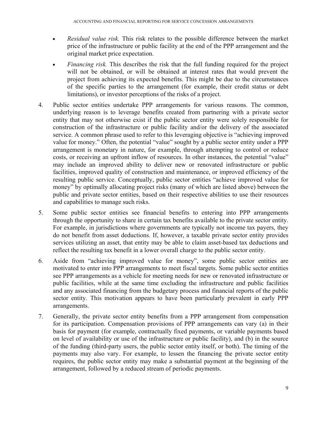- *Residual value risk.* This risk relates to the possible difference between the market price of the infrastructure or public facility at the end of the PPP arrangement and the original market price expectation.
- *Financing risk.* This describes the risk that the full funding required for the project will not be obtained, or will be obtained at interest rates that would prevent the project from achieving its expected benefits. This might be due to the circumstances of the specific parties to the arrangement (for example, their credit status or debt limitations), or investor perceptions of the risks of a project.
- 4. Public sector entities undertake PPP arrangements for various reasons. The common, underlying reason is to leverage benefits created from partnering with a private sector entity that may not otherwise exist if the public sector entity were solely responsible for construction of the infrastructure or public facility and/or the delivery of the associated service. A common phrase used to refer to this leveraging objective is "achieving improved value for money." Often, the potential "value" sought by a public sector entity under a PPP arrangement is monetary in nature, for example, through attempting to control or reduce costs, or receiving an upfront inflow of resources. In other instances, the potential "value" may include an improved ability to deliver new or renovated infrastructure or public facilities, improved quality of construction and maintenance, or improved efficiency of the resulting public service. Conceptually, public sector entities "achieve improved value for money" by optimally allocating project risks (many of which are listed above) between the public and private sector entities, based on their respective abilities to use their resources and capabilities to manage such risks.
- 5. Some public sector entities see financial benefits to entering into PPP arrangements through the opportunity to share in certain tax benefits available to the private sector entity. For example, in jurisdictions where governments are typically not income tax payers, they do not benefit from asset deductions. If, however, a taxable private sector entity provides services utilizing an asset, that entity may be able to claim asset-based tax deductions and reflect the resulting tax benefit in a lower overall charge to the public sector entity.
- 6. Aside from "achieving improved value for money", some public sector entities are motivated to enter into PPP arrangements to meet fiscal targets. Some public sector entities see PPP arrangements as a vehicle for meeting needs for new or renovated infrastructure or public facilities, while at the same time excluding the infrastructure and public facilities and any associated financing from the budgetary process and financial reports of the public sector entity. This motivation appears to have been particularly prevalent in early PPP arrangements.
- 7. Generally, the private sector entity benefits from a PPP arrangement from compensation for its participation. Compensation provisions of PPP arrangements can vary (a) in their basis for payment (for example, contractually fixed payments, or variable payments based on level of availability or use of the infrastructure or public facility), and (b) in the source of the funding (third-party users, the public sector entity itself, or both). The timing of the payments may also vary. For example, to lessen the financing the private sector entity requires, the public sector entity may make a substantial payment at the beginning of the arrangement, followed by a reduced stream of periodic payments.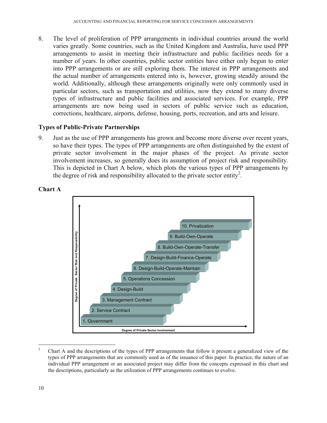8. The level of proliferation of PPP arrangements in individual countries around the world varies greatly. Some countries, such as the United Kingdom and Australia, have used PPP arrangements to assist in meeting their infrastructure and public facilities needs for a number of years. In other countries, public sector entities have either only begun to enter into PPP arrangements or are still exploring them. The interest in PPP arrangements and the actual number of arrangements entered into is, however, growing steadily around the world. Additionally, although these arrangements originally were only commonly used in particular sectors, such as transportation and utilities, now they extend to many diverse types of infrastructure and public facilities and associated services. For example, PPP arrangements are now being used in sectors of public service such as education, corrections, healthcare, airports, defense, housing, ports, recreation, and arts and leisure.

#### **Types of Public-Private Partnerships**

9. Just as the use of PPP arrangements has grown and become more diverse over recent years, so have their types. The types of PPP arrangements are often distinguished by the extent of private sector involvement in the major phases of the project. As private sector involvement increases, so generally does its assumption of project risk and responsibility. This is depicted in Chart A below, which plots the various types of PPP arrangements by the degree of risk and responsibility allocated to the private sector entity<sup>2</sup>.



#### **Chart A**

 $\frac{1}{2}$  Chart A and the descriptions of the types of PPP arrangements that follow it present a generalized view of the types of PPP arrangements that are commonly used as of the issuance of this paper. In practice, the nature of an individual PPP arrangement or an associated project may differ from the concepts expressed in this chart and the descriptions, particularly as the utilization of PPP arrangements continues to evolve.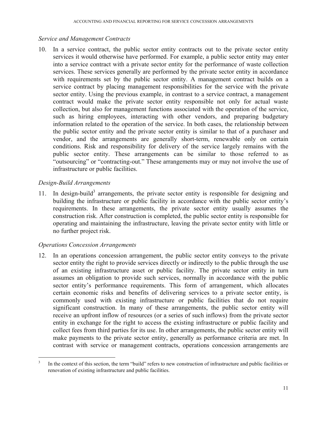#### *Service and Management Contracts*

10. In a service contract, the public sector entity contracts out to the private sector entity services it would otherwise have performed. For example, a public sector entity may enter into a service contract with a private sector entity for the performance of waste collection services. These services generally are performed by the private sector entity in accordance with requirements set by the public sector entity. A management contract builds on a service contract by placing management responsibilities for the service with the private sector entity. Using the previous example, in contrast to a service contract, a management contract would make the private sector entity responsible not only for actual waste collection, but also for management functions associated with the operation of the service, such as hiring employees, interacting with other vendors, and preparing budgetary information related to the operation of the service. In both cases, the relationship between the public sector entity and the private sector entity is similar to that of a purchaser and vendor, and the arrangements are generally short-term, renewable only on certain conditions. Risk and responsibility for delivery of the service largely remains with the public sector entity. These arrangements can be similar to those referred to as "outsourcing" or "contracting-out." These arrangements may or may not involve the use of infrastructure or public facilities.

### *Design-Build Arrangements*

 $\overline{a}$ 

11. In design-build<sup>3</sup> arrangements, the private sector entity is responsible for designing and building the infrastructure or public facility in accordance with the public sector entity's requirements. In these arrangements, the private sector entity usually assumes the construction risk. After construction is completed, the public sector entity is responsible for operating and maintaining the infrastructure, leaving the private sector entity with little or no further project risk.

#### *Operations Concession Arrangements*

12. In an operations concession arrangement, the public sector entity conveys to the private sector entity the right to provide services directly or indirectly to the public through the use of an existing infrastructure asset or public facility. The private sector entity in turn assumes an obligation to provide such services, normally in accordance with the public sector entity's performance requirements. This form of arrangement, which allocates certain economic risks and benefits of delivering services to a private sector entity, is commonly used with existing infrastructure or public facilities that do not require significant construction. In many of these arrangements, the public sector entity will receive an upfront inflow of resources (or a series of such inflows) from the private sector entity in exchange for the right to access the existing infrastructure or public facility and collect fees from third parties for its use. In other arrangements, the public sector entity will make payments to the private sector entity, generally as performance criteria are met. In contrast with service or management contracts, operations concession arrangements are

<sup>3</sup> In the context of this section, the term "build" refers to new construction of infrastructure and public facilities or renovation of existing infrastructure and public facilities.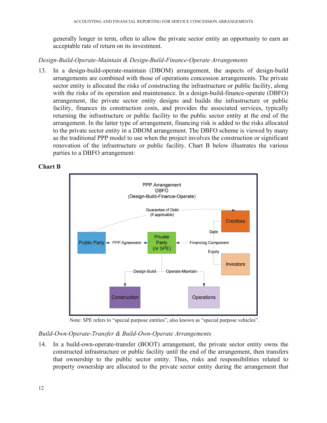generally longer in term, often to allow the private sector entity an opportunity to earn an acceptable rate of return on its investment.

#### *Design-Build-Operate-Maintain & Design-Build-Finance-Operate Arrangements*

13. In a design-build-operate-maintain (DBOM) arrangement, the aspects of design-build arrangements are combined with those of operations concession arrangements. The private sector entity is allocated the risks of constructing the infrastructure or public facility, along with the risks of its operation and maintenance. In a design-build-finance-operate (DBFO) arrangement, the private sector entity designs and builds the infrastructure or public facility, finances its construction costs, and provides the associated services, typically returning the infrastructure or public facility to the public sector entity at the end of the arrangement. In the latter type of arrangement, financing risk is added to the risks allocated to the private sector entity in a DBOM arrangement. The DBFO scheme is viewed by many as the traditional PPP model to use when the project involves the construction or significant renovation of the infrastructure or public facility. Chart B below illustrates the various parties to a DBFO arrangement:

#### **Chart B**



Note: SPE refers to "special purpose entities", also known as "special purpose vehicles".

#### *Build-Own-Operate-Transfer & Build-Own-Operate Arrangements*

14. In a build-own-operate-transfer (BOOT) arrangement, the private sector entity owns the constructed infrastructure or public facility until the end of the arrangement, then transfers that ownership to the public sector entity. Thus, risks and responsibilities related to property ownership are allocated to the private sector entity during the arrangement that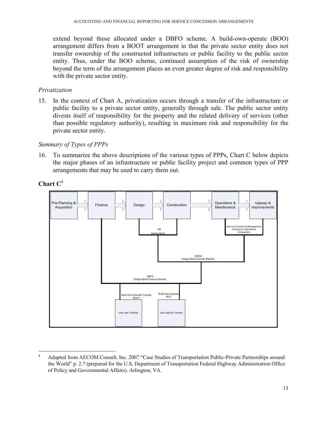extend beyond those allocated under a DBFO scheme. A build-own-operate (BOO) arrangement differs from a BOOT arrangement in that the private sector entity does not transfer ownership of the constructed infrastructure or public facility to the public sector entity. Thus, under the BOO scheme, continued assumption of the risk of ownership beyond the term of the arrangement places an even greater degree of risk and responsibility with the private sector entity.

#### *Privatization*

15. In the context of Chart A, privatization occurs through a transfer of the infrastructure or public facility to a private sector entity, generally through sale. The public sector entity divests itself of responsibility for the property and the related delivery of services (other than possible regulatory authority), resulting in maximum risk and responsibility for the private sector entity.

#### *Summary of Types of PPPs*

16. To summarize the above descriptions of the various types of PPPs, Chart C below depicts the major phases of an infrastructure or public facility project and common types of PPP arrangements that may be used to carry them out.

#### **Chart C**<sup>4</sup>



<sup>4</sup> Adapted from AECOM Consult, Inc. 2007 "Case Studies of Transportation Public-Private Partnerships around the World" p. 2.7 (prepared for the U.S. Department of Transportation Federal Highway Administration Office of Policy and Governmental Affairs). Arlington, VA.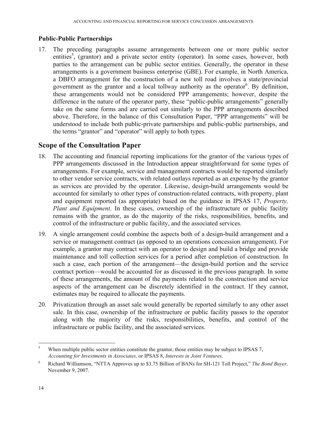#### **Public-Public Partnerships**

17. The preceding paragraphs assume arrangements between one or more public sector entities<sup>5</sup>, (grantor) and a private sector entity (operator). In some cases, however, both parties to the arrangement can be public sector entities. Generally, the operator in these arrangements is a government business enterprise (GBE). For example, in North America, a DBFO arrangement for the construction of a new toll road involves a state/provincial government as the grantor and a local tollway authority as the operator<sup>6</sup>. By definition, these arrangements would not be considered PPP arrangements; however, despite the difference in the nature of the operator party, these "public-public arrangements" generally take on the same forms and are carried out similarly to the PPP arrangements described above. Therefore, in the balance of this Consultation Paper, "PPP arrangements" will be understood to include both public-private partnerships and public-public partnerships, and the terms "grantor" and "operator" will apply to both types.

# **Scope of the Consultation Paper**

- 18. The accounting and financial reporting implications for the grantor of the various types of PPP arrangements discussed in the Introduction appear straightforward for some types of arrangements. For example, service and management contracts would be reported similarly to other vendor service contracts, with related outlays reported as an expense by the grantor as services are provided by the operator. Likewise, design-build arrangements would be accounted for similarly to other types of construction-related contracts, with property, plant and equipment reported (as appropriate) based on the guidance in IPSAS 17, *Property, Plant and Equipment*. In these cases, ownership of the infrastructure or public facility remains with the grantor, as do the majority of the risks, responsibilities, benefits, and control of the infrastructure or public facility, and the associated services.
- 19. A single arrangement could combine the aspects both of a design-build arrangement and a service or management contract (as opposed to an operations concession arrangement). For example, a grantor may contract with an operator to design and build a bridge and provide maintenance and toll collection services for a period after completion of construction. In such a case, each portion of the arrangement—the design-build portion and the service contract portion—would be accounted for as discussed in the previous paragraph. In some of these arrangements, the amount of the payments related to the construction and service aspects of the arrangement can be discretely identified in the contract. If they cannot, estimates may be required to allocate the payments.
- 20. Privatization through an asset sale would generally be reported similarly to any other asset sale. In this case, ownership of the infrastructure or public facility passes to the operator along with the majority of the risks, responsibilities, benefits, and control of the infrastructure or public facility, and the associated services.

<sup>5</sup> When multiple public sector entities constitute the grantor, those entities may be subject to IPSAS 7, *Accounting for Investments in Associates,* or IPSAS 8, *Interests in Joint Ventures*.

<sup>6</sup> Richard Williamson, "NTTA Approves up to \$3.75 Billion of BANs for SH-121 Toll Project," *The Bond Buyer,*  November 9, 2007.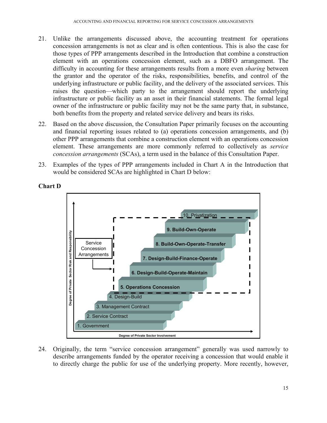- 21. Unlike the arrangements discussed above, the accounting treatment for operations concession arrangements is not as clear and is often contentious. This is also the case for those types of PPP arrangements described in the Introduction that combine a construction element with an operations concession element, such as a DBFO arrangement. The difficulty in accounting for these arrangements results from a more even *sharing* between the grantor and the operator of the risks, responsibilities, benefits, and control of the underlying infrastructure or public facility, and the delivery of the associated services. This raises the question—which party to the arrangement should report the underlying infrastructure or public facility as an asset in their financial statements. The formal legal owner of the infrastructure or public facility may not be the same party that, in substance, both benefits from the property and related service delivery and bears its risks.
- 22. Based on the above discussion, the Consultation Paper primarily focuses on the accounting and financial reporting issues related to (a) operations concession arrangements, and (b) other PPP arrangements that combine a construction element with an operations concession element. These arrangements are more commonly referred to collectively as *service concession arrangements* (SCAs), a term used in the balance of this Consultation Paper.
- 23. Examples of the types of PPP arrangements included in Chart A in the Introduction that would be considered SCAs are highlighted in Chart D below:



**Chart D** 

24. Originally, the term "service concession arrangement" generally was used narrowly to describe arrangements funded by the operator receiving a concession that would enable it to directly charge the public for use of the underlying property. More recently, however,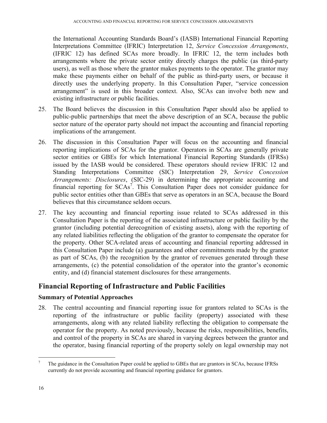the International Accounting Standards Board's (IASB) International Financial Reporting Interpretations Committee (IFRIC) Interpretation 12, *Service Concession Arrangements*, (IFRIC 12) has defined SCAs more broadly. In IFRIC 12, the term includes both arrangements where the private sector entity directly charges the public (as third-party users), as well as those where the grantor makes payments to the operator. The grantor may make these payments either on behalf of the public as third-party users, or because it directly uses the underlying property. In this Consultation Paper, "service concession arrangement" is used in this broader context. Also, SCAs can involve both new and existing infrastructure or public facilities.

- 25. The Board believes the discussion in this Consultation Paper should also be applied to public-public partnerships that meet the above description of an SCA, because the public sector nature of the operator party should not impact the accounting and financial reporting implications of the arrangement.
- 26. The discussion in this Consultation Paper will focus on the accounting and financial reporting implications of SCAs for the grantor. Operators in SCAs are generally private sector entities or GBEs for which International Financial Reporting Standards (IFRSs) issued by the IASB would be considered. These operators should review IFRIC 12 and Standing Interpretations Committee (SIC) Interpretation 29, *Service Concession Arrangements: Disclosures*, (SIC-29) in determining the appropriate accounting and financial reporting for  $SCAs^7$ . This Consultation Paper does not consider guidance for public sector entities other than GBEs that serve as operators in an SCA, because the Board believes that this circumstance seldom occurs.
- 27. The key accounting and financial reporting issue related to SCAs addressed in this Consultation Paper is the reporting of the associated infrastructure or public facility by the grantor (including potential derecognition of existing assets), along with the reporting of any related liabilities reflecting the obligation of the grantor to compensate the operator for the property. Other SCA-related areas of accounting and financial reporting addressed in this Consultation Paper include (a) guarantees and other commitments made by the grantor as part of SCAs, (b) the recognition by the grantor of revenues generated through these arrangements, (c) the potential consolidation of the operator into the grantor's economic entity, and (d) financial statement disclosures for these arrangements.

# **Financial Reporting of Infrastructure and Public Facilities**

#### **Summary of Potential Approaches**

28. The central accounting and financial reporting issue for grantors related to SCAs is the reporting of the infrastructure or public facility (property) associated with these arrangements, along with any related liability reflecting the obligation to compensate the operator for the property. As noted previously, because the risks, responsibilities, benefits, and control of the property in SCAs are shared in varying degrees between the grantor and the operator, basing financial reporting of the property solely on legal ownership may not

<sup>7</sup> The guidance in the Consultation Paper could be applied to GBEs that are grantors in SCAs, because IFRSs currently do not provide accounting and financial reporting guidance for grantors.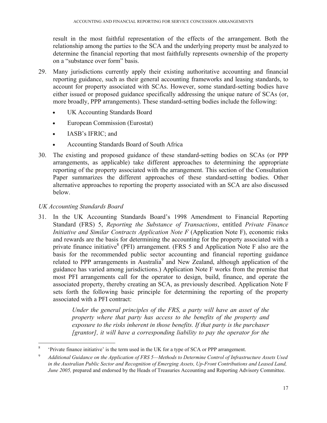result in the most faithful representation of the effects of the arrangement. Both the relationship among the parties to the SCA and the underlying property must be analyzed to determine the financial reporting that most faithfully represents ownership of the property on a "substance over form" basis.

- 29. Many jurisdictions currently apply their existing authoritative accounting and financial reporting guidance, such as their general accounting frameworks and leasing standards, to account for property associated with SCAs. However, some standard-setting bodies have either issued or proposed guidance specifically addressing the unique nature of SCAs (or, more broadly, PPP arrangements). These standard-setting bodies include the following:
	- UK Accounting Standards Board
	- European Commission (Eurostat)
	- **IASB's IFRIC**; and
	- Accounting Standards Board of South Africa
- 30. The existing and proposed guidance of these standard-setting bodies on SCAs (or PPP arrangements, as applicable) take different approaches to determining the appropriate reporting of the property associated with the arrangement. This section of the Consultation Paper summarizes the different approaches of these standard-setting bodies. Other alternative approaches to reporting the property associated with an SCA are also discussed below.

### *UK Accounting Standards Board*

31. In the UK Accounting Standards Board's 1998 Amendment to Financial Reporting Standard (FRS) 5, *Reporting the Substance of Transactions*, entitled *Private Finance Initiative and Similar Contracts Application Note F* (Application Note F), economic risks and rewards are the basis for determining the accounting for the property associated with a private finance initiative<sup>8</sup> (PFI) arrangement. (FRS 5 and Application Note F also are the basis for the recommended public sector accounting and financial reporting guidance related to PPP arrangements in Australia<sup>9</sup> and New Zealand, although application of the guidance has varied among jurisdictions.) Application Note F works from the premise that most PFI arrangements call for the operator to design, build, finance, and operate the associated property, thereby creating an SCA, as previously described. Application Note F sets forth the following basic principle for determining the reporting of the property associated with a PFI contract:

> *Under the general principles of the FRS, a party will have an asset of the property where that party has access to the benefits of the property and exposure to the risks inherent in those benefits. If that party is the purchaser [grantor], it will have a corresponding liability to pay the operator for the*

<sup>1</sup> 8 'Private finance initiative' is the term used in the UK for a type of SCA or PPP arrangement.

<sup>9</sup> *Additional Guidance on the Application of FRS 5—Methods to Determine Control of Infrastructure Assets Used in the Australian Public Sector and Recognition of Emerging Assets, Up-Front Contributions and Leased Land, June 2005,* prepared and endorsed by the Heads of Treasuries Accounting and Reporting Advisory Committee.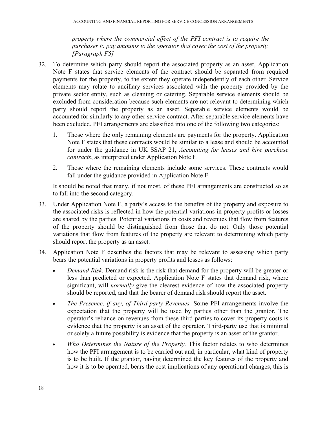*property where the commercial effect of the PFI contract is to require the purchaser to pay amounts to the operator that cover the cost of the property. [Paragraph F5]* 

- 32. To determine which party should report the associated property as an asset, Application Note F states that service elements of the contract should be separated from required payments for the property, to the extent they operate independently of each other. Service elements may relate to ancillary services associated with the property provided by the private sector entity, such as cleaning or catering. Separable service elements should be excluded from consideration because such elements are not relevant to determining which party should report the property as an asset. Separable service elements would be accounted for similarly to any other service contract. After separable service elements have been excluded, PFI arrangements are classified into one of the following two categories:
	- 1. Those where the only remaining elements are payments for the property. Application Note F states that these contracts would be similar to a lease and should be accounted for under the guidance in UK SSAP 21, *Accounting for leases and hire purchase contracts*, as interpreted under Application Note F.
	- 2. Those where the remaining elements include some services. These contracts would fall under the guidance provided in Application Note F.

It should be noted that many, if not most, of these PFI arrangements are constructed so as to fall into the second category.

- 33. Under Application Note F, a party's access to the benefits of the property and exposure to the associated risks is reflected in how the potential variations in property profits or losses are shared by the parties. Potential variations in costs and revenues that flow from features of the property should be distinguished from those that do not. Only those potential variations that flow from features of the property are relevant to determining which party should report the property as an asset.
- 34. Application Note F describes the factors that may be relevant to assessing which party bears the potential variations in property profits and losses as follows:
	- *Demand Risk.* Demand risk is the risk that demand for the property will be greater or less than predicted or expected. Application Note F states that demand risk, where significant, will *normally* give the clearest evidence of how the associated property should be reported, and that the bearer of demand risk should report the asset.
	- *The Presence, if any, of Third-party Revenues.* Some PFI arrangements involve the expectation that the property will be used by parties other than the grantor. The operator's reliance on revenues from these third-parties to cover its property costs is evidence that the property is an asset of the operator. Third-party use that is minimal or solely a future possibility is evidence that the property is an asset of the grantor.
	- *Who Determines the Nature of the Property.* This factor relates to who determines how the PFI arrangement is to be carried out and, in particular, what kind of property is to be built. If the grantor, having determined the key features of the property and how it is to be operated, bears the cost implications of any operational changes, this is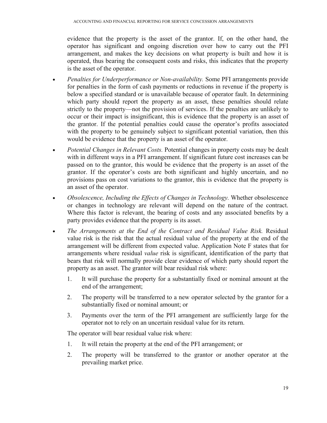evidence that the property is the asset of the grantor. If, on the other hand, the operator has significant and ongoing discretion over how to carry out the PFI arrangement, and makes the key decisions on what property is built and how it is operated, thus bearing the consequent costs and risks, this indicates that the property is the asset of the operator.

- *Penalties for Underperformance or Non-availability.* Some PFI arrangements provide for penalties in the form of cash payments or reductions in revenue if the property is below a specified standard or is unavailable because of operator fault. In determining which party should report the property as an asset, these penalties should relate strictly to the property—not the provision of services. If the penalties are unlikely to occur or their impact is insignificant, this is evidence that the property is an asset of the grantor. If the potential penalties could cause the operator's profits associated with the property to be genuinely subject to significant potential variation, then this would be evidence that the property is an asset of the operator.
- *Potential Changes in Relevant Costs.* Potential changes in property costs may be dealt with in different ways in a PFI arrangement. If significant future cost increases can be passed on to the grantor, this would be evidence that the property is an asset of the grantor. If the operator's costs are both significant and highly uncertain, and no provisions pass on cost variations to the grantor, this is evidence that the property is an asset of the operator.
- *Obsolescence, Including the Effects of Changes in Technology.* Whether obsolescence or changes in technology are relevant will depend on the nature of the contract. Where this factor is relevant, the bearing of costs and any associated benefits by a party provides evidence that the property is its asset.
- *The Arrangements at the End of the Contract and Residual Value Risk.* Residual value risk is the risk that the actual residual value of the property at the end of the arrangement will be different from expected value. Application Note F states that for arrangements where residual *value* risk is significant, identification of the party that bears that risk will normally provide clear evidence of which party should report the property as an asset. The grantor will bear residual risk where:
	- 1. It will purchase the property for a substantially fixed or nominal amount at the end of the arrangement;
	- 2. The property will be transferred to a new operator selected by the grantor for a substantially fixed or nominal amount; or
	- 3. Payments over the term of the PFI arrangement are sufficiently large for the operator not to rely on an uncertain residual value for its return.

The operator will bear residual value risk where:

- 1. It will retain the property at the end of the PFI arrangement; or
- 2. The property will be transferred to the grantor or another operator at the prevailing market price.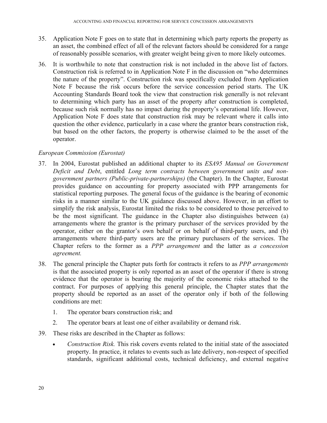- 35. Application Note F goes on to state that in determining which party reports the property as an asset, the combined effect of all of the relevant factors should be considered for a range of reasonably possible scenarios, with greater weight being given to more likely outcomes.
- 36. It is worthwhile to note that construction risk is not included in the above list of factors. Construction risk is referred to in Application Note F in the discussion on "who determines the nature of the property". Construction risk was specifically excluded from Application Note F because the risk occurs before the service concession period starts. The UK Accounting Standards Board took the view that construction risk generally is not relevant to determining which party has an asset of the property after construction is completed, because such risk normally has no impact during the property's operational life. However, Application Note F does state that construction risk may be relevant where it calls into question the other evidence, particularly in a case where the grantor bears construction risk, but based on the other factors, the property is otherwise claimed to be the asset of the operator.

#### *European Commission (Eurostat)*

- 37. In 2004, Eurostat published an additional chapter to its *ESA95 Manual on Government Deficit and Debt*, entitled *Long term contracts between government units and nongovernment partners (Public-private-partnerships)* (the Chapter). In the Chapter, Eurostat provides guidance on accounting for property associated with PPP arrangements for statistical reporting purposes. The general focus of the guidance is the bearing of economic risks in a manner similar to the UK guidance discussed above. However, in an effort to simplify the risk analysis, Eurostat limited the risks to be considered to those perceived to be the most significant. The guidance in the Chapter also distinguishes between (a) arrangements where the grantor is the primary purchaser of the services provided by the operator, either on the grantor's own behalf or on behalf of third-party users, and (b) arrangements where third-party users are the primary purchasers of the services. The Chapter refers to the former as a *PPP arrangement* and the latter as *a concession agreement.*
- 38. The general principle the Chapter puts forth for contracts it refers to as *PPP arrangements* is that the associated property is only reported as an asset of the operator if there is strong evidence that the operator is bearing the majority of the economic risks attached to the contract. For purposes of applying this general principle, the Chapter states that the property should be reported as an asset of the operator only if both of the following conditions are met:
	- 1. The operator bears construction risk; and
	- 2. The operator bears at least one of either availability or demand risk.
- 39. These risks are described in the Chapter as follows:
	- *Construction Risk.* This risk covers events related to the initial state of the associated property. In practice, it relates to events such as late delivery, non-respect of specified standards, significant additional costs, technical deficiency, and external negative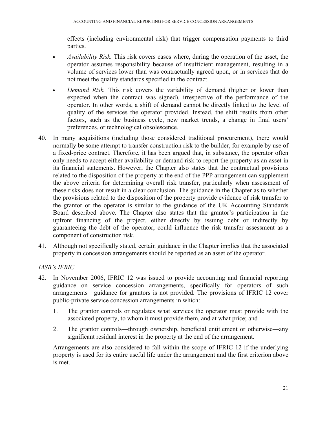effects (including environmental risk) that trigger compensation payments to third parties.

- *Availability Risk.* This risk covers cases where, during the operation of the asset, the operator assumes responsibility because of insufficient management, resulting in a volume of services lower than was contractually agreed upon, or in services that do not meet the quality standards specified in the contract.
- *Demand Risk.* This risk covers the variability of demand (higher or lower than expected when the contract was signed), irrespective of the performance of the operator. In other words, a shift of demand cannot be directly linked to the level of quality of the services the operator provided. Instead, the shift results from other factors, such as the business cycle, new market trends, a change in final users' preferences, or technological obsolescence.
- 40. In many acquisitions (including those considered traditional procurement), there would normally be some attempt to transfer construction risk to the builder, for example by use of a fixed-price contract. Therefore, it has been argued that, in substance, the operator often only needs to accept either availability or demand risk to report the property as an asset in its financial statements. However, the Chapter also states that the contractual provisions related to the disposition of the property at the end of the PPP arrangement can supplement the above criteria for determining overall risk transfer, particularly when assessment of these risks does not result in a clear conclusion. The guidance in the Chapter as to whether the provisions related to the disposition of the property provide evidence of risk transfer to the grantor or the operator is similar to the guidance of the UK Accounting Standards Board described above. The Chapter also states that the grantor's participation in the upfront financing of the project, either directly by issuing debt or indirectly by guaranteeing the debt of the operator, could influence the risk transfer assessment as a component of construction risk.
- 41. Although not specifically stated, certain guidance in the Chapter implies that the associated property in concession arrangements should be reported as an asset of the operator.

#### *IASB's IFRIC*

- 42. In November 2006, IFRIC 12 was issued to provide accounting and financial reporting guidance on service concession arrangements, specifically for operators of such arrangements—guidance for grantors is not provided. The provisions of IFRIC 12 cover public-private service concession arrangements in which:
	- 1. The grantor controls or regulates what services the operator must provide with the associated property, to whom it must provide them, and at what price; and
	- 2. The grantor controls—through ownership, beneficial entitlement or otherwise—any significant residual interest in the property at the end of the arrangement.

Arrangements are also considered to fall within the scope of IFRIC 12 if the underlying property is used for its entire useful life under the arrangement and the first criterion above is met.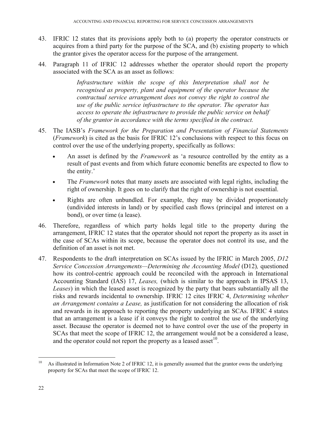- 43. IFRIC 12 states that its provisions apply both to (a) property the operator constructs or acquires from a third party for the purpose of the SCA, and (b) existing property to which the grantor gives the operator access for the purpose of the arrangement.
- 44. Paragraph 11 of IFRIC 12 addresses whether the operator should report the property associated with the SCA as an asset as follows:

*Infrastructure within the scope of this Interpretation shall not be recognised as property, plant and equipment of the operator because the contractual service arrangement does not convey the right to control the use of the public service infrastructure to the operator. The operator has access to operate the infrastructure to provide the public service on behalf of the grantor in accordance with the terms specified in the contract.* 

- 45. The IASB's *Framework for the Preparation and Presentation of Financial Statements* (*Framework*) is cited as the basis for IFRIC 12's conclusions with respect to this focus on control over the use of the underlying property, specifically as follows:
	- An asset is defined by the *Framework* as 'a resource controlled by the entity as a result of past events and from which future economic benefits are expected to flow to the entity.'
	- The *Framework* notes that many assets are associated with legal rights, including the right of ownership. It goes on to clarify that the right of ownership is not essential.
	- Rights are often unbundled. For example, they may be divided proportionately (undivided interests in land) or by specified cash flows (principal and interest on a bond), or over time (a lease).
- 46. Therefore, regardless of which party holds legal title to the property during the arrangement, IFRIC 12 states that the operator should not report the property as its asset in the case of SCAs within its scope, because the operator does not control its use, and the definition of an asset is not met.
- 47. Respondents to the draft interpretation on SCAs issued by the IFRIC in March 2005, *D12 Service Concession Arrangements—Determining the Accounting Model (D12), questioned* how its control-centric approach could be reconciled with the approach in International Accounting Standard (IAS) 17, *Leases,* (which is similar to the approach in IPSAS 13, *Leases*) in which the leased asset is recognized by the party that bears substantially all the risks and rewards incidental to ownership. IFRIC 12 cites IFRIC 4, *Determining whether an Arrangement contains a Lease,* as justification for not considering the allocation of risk and rewards in its approach to reporting the property underlying an SCAs. IFRIC 4 states that an arrangement is a lease if it conveys the right to control the use of the underlying asset. Because the operator is deemed not to have control over the use of the property in SCAs that meet the scope of IFRIC 12, the arrangement would not be a considered a lease, and the operator could not report the property as a leased asset  $10$ .

<sup>&</sup>lt;sup>10</sup> As illustrated in Information Note 2 of IFRIC 12, it is generally assumed that the grantor owns the underlying property for SCAs that meet the scope of IFRIC 12.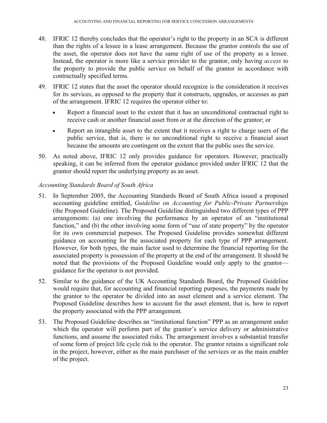- 48. IFRIC 12 thereby concludes that the operator's right to the property in an SCA is different than the rights of a lessee in a lease arrangement. Because the grantor controls the use of the asset, the operator does not have the same right of use of the property as a lessee. Instead, the operator is more like a service provider to the grantor, only having *access* to the property to provide the public service on behalf of the grantor in accordance with contractually specified terms.
- 49. IFRIC 12 states that the asset the operator should recognize is the consideration it receives for its services, as opposed to the property that it constructs, upgrades, or accesses as part of the arrangement. IFRIC 12 requires the operator either to:
	- Report a financial asset to the extent that it has an unconditional contractual right to receive cash or another financial asset from or at the direction of the grantor; or
	- Report an intangible asset to the extent that it receives a right to charge users of the public service, that is, there is no unconditional right to receive a financial asset because the amounts are contingent on the extent that the public uses the service.
- 50. As noted above, IFRIC 12 only provides guidance for operators. However, practically speaking, it can be inferred from the operator guidance provided under IFRIC 12 that the grantor should report the underlying property as an asset.

#### *Accounting Standards Board of South Africa*

- 51. In September 2005, the Accounting Standards Board of South Africa issued a proposed accounting guideline entitled, *Guideline on Accounting for Public-Private Partnerships* (the Proposed Guideline). The Proposed Guideline distinguished two different types of PPP arrangements: (a) one involving the performance by an operator of an "institutional function," and (b) the other involving some form of "use of state property" by the operator for its own commercial purposes. The Proposed Guideline provides somewhat different guidance on accounting for the associated property for each type of PPP arrangement. However, for both types, the main factor used to determine the financial reporting for the associated property is possession of the property at the end of the arrangement. It should be noted that the provisions of the Proposed Guideline would only apply to the grantor guidance for the operator is not provided.
- 52. Similar to the guidance of the UK Accounting Standards Board, the Proposed Guideline would require that, for accounting and financial reporting purposes, the payments made by the grantor to the operator be divided into an asset element and a service element. The Proposed Guideline describes how to account for the asset element, that is, how to report the property associated with the PPP arrangement.
- 53. The Proposed Guideline describes an "institutional function" PPP as an arrangement under which the operator will perform part of the grantor's service delivery or administrative functions, and assume the associated risks. The arrangement involves a substantial transfer of some form of project life cycle risk to the operator. The grantor retains a significant role in the project, however, either as the main purchaser of the services or as the main enabler of the project.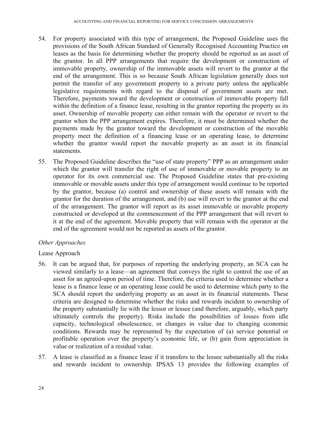- 54. For property associated with this type of arrangement, the Proposed Guideline uses the provisions of the South African Standard of Generally Recognised Accounting Practice on leases as the basis for determining whether the property should be reported as an asset of the grantor. In all PPP arrangements that require the development or construction of immovable property, ownership of the immovable assets will revert to the grantor at the end of the arrangement. This is so because South African legislation generally does not permit the transfer of any government property to a private party unless the applicable legislative requirements with regard to the disposal of government assets are met. Therefore, payments toward the development or construction of immovable property fall within the definition of a finance lease, resulting in the grantor reporting the property as its asset. Ownership of movable property can either remain with the operator or revert to the grantor when the PPP arrangement expires. Therefore, it must be determined whether the payments made by the grantor toward the development or construction of the movable property meet the definition of a financing lease or an operating lease, to determine whether the grantor would report the movable property as an asset in its financial statements.
- 55. The Proposed Guideline describes the "use of state property" PPP as an arrangement under which the grantor will transfer the right of use of immovable or movable property to an operator for its own commercial use. The Proposed Guideline states that pre-existing immovable or movable assets under this type of arrangement would continue to be reported by the grantor, because (a) control and ownership of these assets will remain with the grantor for the duration of the arrangement, and (b) use will revert to the grantor at the end of the arrangement. The grantor will report as its asset immovable or movable property constructed or developed at the commencement of the PPP arrangement that will revert to it at the end of the agreement. Movable property that will remain with the operator at the end of the agreement would not be reported as assets of the grantor.

#### *Other Approaches*

#### Lease Approach

- 56. It can be argued that, for purposes of reporting the underlying property, an SCA can be viewed similarly to a lease—an agreement that conveys the right to control the use of an asset for an agreed-upon period of time. Therefore, the criteria used to determine whether a lease is a finance lease or an operating lease could be used to determine which party to the SCA should report the underlying property as an asset in its financial statements. These criteria are designed to determine whether the risks and rewards incident to ownership of the property substantially lie with the lessor or lessee (and therefore, arguably, which party ultimately controls the property). Risks include the possibilities of losses from idle capacity, technological obsolescence, or changes in value due to changing economic conditions. Rewards may be represented by the expectation of (a) service potential or profitable operation over the property's economic life, or (b) gain from appreciation in value or realization of a residual value.
- 57. A lease is classified as a finance lease if it transfers to the lessee substantially all the risks and rewards incident to ownership. IPSAS 13 provides the following examples of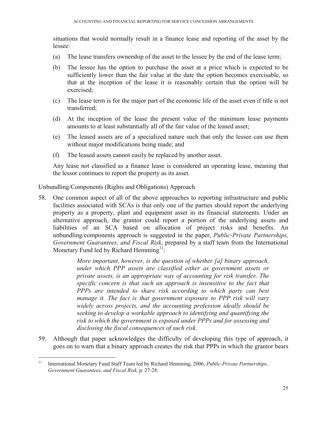situations that would normally result in a finance lease and reporting of the asset by the lessee:

- (a) The lease transfers ownership of the asset to the lessee by the end of the lease term;
- (b) The lessee has the option to purchase the asset at a price which is expected to be sufficiently lower than the fair value at the date the option becomes exercisable, so that at the inception of the lease it is reasonably certain that the option will be exercised;
- (c) The lease term is for the major part of the economic life of the asset even if title is not transferred;
- (d) At the inception of the lease the present value of the minimum lease payments amounts to at least substantially all of the fair value of the leased asset;
- (e) The leased assets are of a specialized nature such that only the lessee can use them without major modifications being made; and
- (f) The leased assets cannot easily be replaced by another asset.

Any lease not classified as a finance lease is considered an operating lease, meaning that the lessor continues to report the property as its asset.

Unbundling/Components (Rights and Obligations) Approach

 $\overline{a}$ 

58. One common aspect of all of the above approaches to reporting infrastructure and public facilities associated with SCAs is that only one of the parties should report the underlying property as a property, plant and equipment asset in its financial statements. Under an alternative approach, the grantor could report a portion of the underlying assets and liabilities of an SCA based on allocation of project risks and benefits. An unbundling/components approach is suggested in the paper, *Public-Private Partnerships, Government Guarantees, and Fiscal Risk*, prepared by a staff team from the International Monetary Fund led by Richard Hemming<sup>11</sup>:

> *More important, however, is the question of whether [a] binary approach, under which PPP assets are classified either as government assets or private assets, is an appropriate way of accounting for risk transfer. The specific concern is that such an approach is insensitive to the fact that PPPs are intended to share risk according to which party can best manage it. The fact is that government exposure to PPP risk will vary widely across projects, and the accounting profession ideally should be seeking to develop a workable approach to identifying and quantifying the risk to which the government is exposed under PPPs and for assessing and disclosing the fiscal consequences of such risk.*

59. Although that paper acknowledges the difficulty of developing this type of approach, it goes on to warn that a binary approach creates the risk that PPPs in which the grantor bears

<sup>11</sup> International Monetary Fund Staff Team led by Richard Hemming, 2006, *Public-Private Partnerships, Government Guarantees, and Fiscal Risk,* p. 27-28.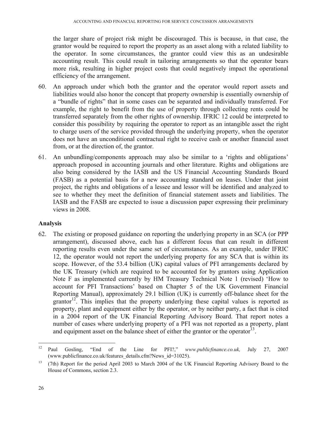the larger share of project risk might be discouraged. This is because, in that case, the grantor would be required to report the property as an asset along with a related liability to the operator. In some circumstances, the grantor could view this as an undesirable accounting result. This could result in tailoring arrangements so that the operator bears more risk, resulting in higher project costs that could negatively impact the operational efficiency of the arrangement.

- 60. An approach under which both the grantor and the operator would report assets and liabilities would also honor the concept that property ownership is essentially ownership of a "bundle of rights" that in some cases can be separated and individually transferred. For example, the right to benefit from the use of property through collecting rents could be transferred separately from the other rights of ownership. IFRIC 12 could be interpreted to consider this possibility by requiring the operator to report as an intangible asset the right to charge users of the service provided through the underlying property, when the operator does not have an unconditional contractual right to receive cash or another financial asset from, or at the direction of, the grantor.
- 61. An unbundling/components approach may also be similar to a 'rights and obligations' approach proposed in accounting journals and other literature. Rights and obligations are also being considered by the IASB and the US Financial Accounting Standards Board (FASB) as a potential basis for a new accounting standard on leases. Under that joint project, the rights and obligations of a lessee and lessor will be identified and analyzed to see to whether they meet the definition of financial statement assets and liabilities. The IASB and the FASB are expected to issue a discussion paper expressing their preliminary views in 2008.

#### **Analysis**

62. The existing or proposed guidance on reporting the underlying property in an SCA (or PPP arrangement), discussed above, each has a different focus that can result in different reporting results even under the same set of circumstances. As an example, under IFRIC 12, the operator would not report the underlying property for any SCA that is within its scope. However, of the 53.4 billion (UK) capital values of PFI arrangements declared by the UK Treasury (which are required to be accounted for by grantors using Application Note F as implemented currently by HM Treasury Technical Note 1 (revised) 'How to account for PFI Transactions' based on Chapter 5 of the UK Government Financial Reporting Manual), approximately 29.1 billion (UK) is currently off-balance sheet for the grantor<sup>12</sup>. This implies that the property underlying these capital values is reported as property, plant and equipment either by the operator, or by neither party, a fact that is cited in a 2004 report of the UK Financial Reporting Advisory Board. That report notes a number of cases where underlying property of a PFI was not reported as a property, plant and equipment asset on the balance sheet of either the grantor or the operator<sup>13</sup>.

1

<sup>12</sup> Paul Gosling, "End of the Line for PFI?," *www.publicfinance.co.uk,* July 27, 2007 (www.publicfinance.co.uk/features\_details.cfm?News\_id=31025).

<sup>&</sup>lt;sup>13</sup> (7th) Report for the period April 2003 to March 2004 of the UK Financial Reporting Advisory Board to the House of Commons, section 2.3.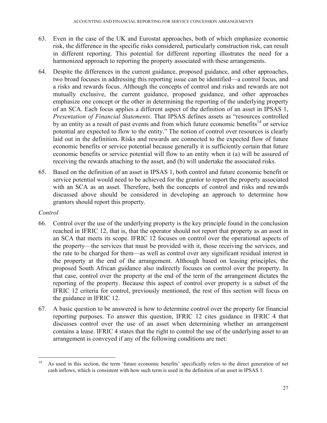- 63. Even in the case of the UK and Eurostat approaches, both of which emphasize economic risk, the difference in the specific risks considered, particularly construction risk, can result in different reporting. This potential for different reporting illustrates the need for a harmonized approach to reporting the property associated with these arrangements.
- 64. Despite the differences in the current guidance, proposed guidance, and other approaches, two broad focuses in addressing this reporting issue can be identified—a control focus, and a risks and rewards focus. Although the concepts of control and risks and rewards are not mutually exclusive, the current guidance, proposed guidance, and other approaches emphasize one concept or the other in determining the reporting of the underlying property of an SCA. Each focus applies a different aspect of the definition of an asset in IPSAS 1, *Presentation of Financial Statements*. That IPSAS defines assets as "resources controlled by an entity as a result of past events and from which future economic benefits<sup>14</sup> or service potential are expected to flow to the entity." The notion of control over resources is clearly laid out in the definition. Risks and rewards are connected to the expected flow of future economic benefits or service potential because generally it is sufficiently certain that future economic benefits or service potential will flow to an entity when it (a) will be assured of receiving the rewards attaching to the asset, and (b) will undertake the associated risks.
- 65. Based on the definition of an asset in IPSAS 1, both control and future economic benefit or service potential would need to be achieved for the grantor to report the property associated with an SCA as an asset. Therefore, both the concepts of control and risks and rewards discussed above should be considered in developing an approach to determine how grantors should report this property.

#### *Control*

- 66. Control over the use of the underlying property is the key principle found in the conclusion reached in IFRIC 12, that is, that the operator should not report that property as an asset in an SCA that meets its scope. IFRIC 12 focuses on control over the operational aspects of the property—the services that must be provided with it, those receiving the services, and the rate to be charged for them—as well as control over any significant residual interest in the property at the end of the arrangement. Although based on leasing principles, the proposed South African guidance also indirectly focuses on control over the property. In that case, control over the property at the end of the term of the arrangement dictates the reporting of the property. Because this aspect of control over property is a subset of the IFRIC 12 criteria for control, previously mentioned, the rest of this section will focus on the guidance in IFRIC 12.
- 67. A basic question to be answered is how to determine control over the property for financial reporting purposes. To answer this question, IFRIC 12 cites guidance in IFRIC 4 that discusses control over the use of an asset when determining whether an arrangement contains a lease. IFRIC 4 states that the right to control the use of the underlying asset to an arrangement is conveyed if any of the following conditions are met:

<sup>&</sup>lt;sup>14</sup> As used in this section, the term 'future economic benefits' specifically refers to the direct generation of net cash inflows, which is consistent with how such term is used in the definition of an asset in IPSAS 1.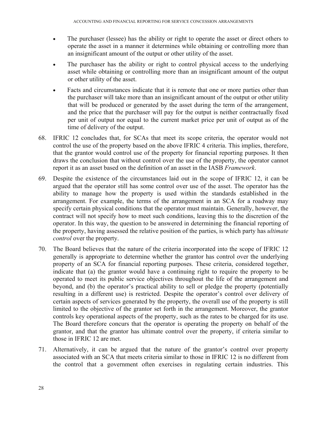- The purchaser (lessee) has the ability or right to operate the asset or direct others to operate the asset in a manner it determines while obtaining or controlling more than an insignificant amount of the output or other utility of the asset.
- The purchaser has the ability or right to control physical access to the underlying asset while obtaining or controlling more than an insignificant amount of the output or other utility of the asset.
- Facts and circumstances indicate that it is remote that one or more parties other than the purchaser will take more than an insignificant amount of the output or other utility that will be produced or generated by the asset during the term of the arrangement, and the price that the purchaser will pay for the output is neither contractually fixed per unit of output nor equal to the current market price per unit of output as of the time of delivery of the output.
- 68. IFRIC 12 concludes that, for SCAs that meet its scope criteria, the operator would not control the use of the property based on the above IFRIC 4 criteria. This implies, therefore, that the grantor would control use of the property for financial reporting purposes. It then draws the conclusion that without control over the use of the property, the operator cannot report it as an asset based on the definition of an asset in the IASB *Framework*.
- 69. Despite the existence of the circumstances laid out in the scope of IFRIC 12, it can be argued that the operator still has some control over use of the asset. The operator has the ability to manage how the property is used within the standards established in the arrangement. For example, the terms of the arrangement in an SCA for a roadway may specify certain physical conditions that the operator must maintain. Generally, however, the contract will not specify how to meet such conditions, leaving this to the discretion of the operator. In this way, the question to be answered in determining the financial reporting of the property, having assessed the relative position of the parties, is which party has *ultimate control* over the property.
- 70. The Board believes that the nature of the criteria incorporated into the scope of IFRIC 12 generally is appropriate to determine whether the grantor has control over the underlying property of an SCA for financial reporting purposes. These criteria, considered together, indicate that (a) the grantor would have a continuing right to require the property to be operated to meet its public service objectives throughout the life of the arrangement and beyond, and (b) the operator's practical ability to sell or pledge the property (potentially resulting in a different use) is restricted. Despite the operator's control over delivery of certain aspects of services generated by the property, the overall use of the property is still limited to the objective of the grantor set forth in the arrangement. Moreover, the grantor controls key operational aspects of the property, such as the rates to be charged for its use. The Board therefore concurs that the operator is operating the property on behalf of the grantor, and that the grantor has ultimate control over the property, if criteria similar to those in IFRIC 12 are met.
- 71. Alternatively, it can be argued that the nature of the grantor's control over property associated with an SCA that meets criteria similar to those in IFRIC 12 is no different from the control that a government often exercises in regulating certain industries. This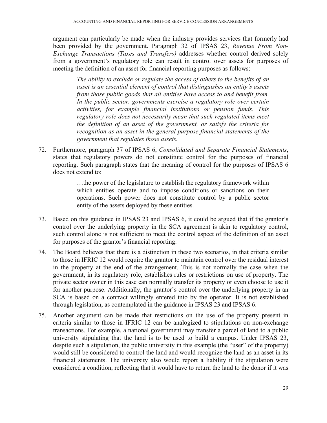argument can particularly be made when the industry provides services that formerly had been provided by the government. Paragraph 32 of IPSAS 23, *Revenue From Non-Exchange Transactions (Taxes and Transfers)* addresses whether control derived solely from a government's regulatory role can result in control over assets for purposes of meeting the definition of an asset for financial reporting purposes as follows:

*The ability to exclude or regulate the access of others to the benefits of an asset is an essential element of control that distinguishes an entity's assets from those public goods that all entities have access to and benefit from. In the public sector, governments exercise a regulatory role over certain activities, for example financial institutions or pension funds. This regulatory role does not necessarily mean that such regulated items meet the definition of an asset of the government, or satisfy the criteria for recognition as an asset in the general purpose financial statements of the government that regulates those assets.* 

72. Furthermore, paragraph 37 of IPSAS 6, *Consolidated and Separate Financial Statements*, states that regulatory powers do not constitute control for the purposes of financial reporting. Such paragraph states that the meaning of control for the purposes of IPSAS 6 does not extend to:

> …the power of the legislature to establish the regulatory framework within which entities operate and to impose conditions or sanctions on their operations. Such power does not constitute control by a public sector entity of the assets deployed by these entities.

- 73. Based on this guidance in IPSAS 23 and IPSAS 6, it could be argued that if the grantor's control over the underlying property in the SCA agreement is akin to regulatory control, such control alone is not sufficient to meet the control aspect of the definition of an asset for purposes of the grantor's financial reporting.
- 74. The Board believes that there is a distinction in these two scenarios, in that criteria similar to those in IFRIC 12 would require the grantor to maintain control over the residual interest in the property at the end of the arrangement. This is not normally the case when the government, in its regulatory role, establishes rules or restrictions on use of property. The private sector owner in this case can normally transfer its property or even choose to use it for another purpose. Additionally, the grantor's control over the underlying property in an SCA is based on a contract willingly entered into by the operator. It is not established through legislation, as contemplated in the guidance in IPSAS 23 and IPSAS 6.
- 75. Another argument can be made that restrictions on the use of the property present in criteria similar to those in IFRIC 12 can be analogized to stipulations on non-exchange transactions. For example, a national government may transfer a parcel of land to a public university stipulating that the land is to be used to build a campus. Under IPSAS 23, despite such a stipulation, the public university in this example (the "user" of the property) would still be considered to control the land and would recognize the land as an asset in its financial statements. The university also would report a liability if the stipulation were considered a condition, reflecting that it would have to return the land to the donor if it was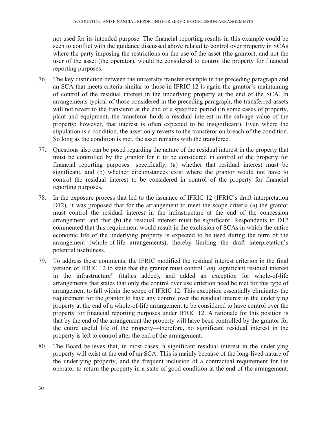not used for its intended purpose. The financial reporting results in this example could be seen to conflict with the guidance discussed above related to control over property in SCAs where the party imposing the restrictions on the use of the asset (the grantor), and not the user of the asset (the operator), would be considered to control the property for financial reporting purposes.

- 76. The key distinction between the university transfer example in the preceding paragraph and an SCA that meets criteria similar to those in IFRIC 12 is again the grantor's maintaining of control of the residual interest in the underlying property at the end of the SCA. In arrangements typical of those considered in the preceding paragraph, the transferred assets will not revert to the transferor at the end of a specified period (in some cases of property, plant and equipment, the transferor holds a residual interest in the salvage value of the property; however, that interest is often expected to be insignificant). Even where the stipulation is a condition, the asset only reverts to the transferor on breach of the condition. So long as the condition is met, the asset remains with the transferee.
- 77. Questions also can be posed regarding the nature of the residual interest in the property that must be controlled by the grantor for it to be considered in control of the property for financial reporting purposes—specifically, (a) whether that residual interest must be significant, and (b) whether circumstances exist where the grantor would not have to control the residual interest to be considered in control of the property for financial reporting purposes.
- 78. In the exposure process that led to the issuance of IFRIC 12 (IFRIC's draft interpretation D12), it was proposed that for the arrangement to meet the scope criteria (a) the grantor must control the residual interest in the infrastructure at the end of the concession arrangement, and that (b) the residual interest must be significant. Respondents to D12 commented that this requirement would result in the exclusion of SCAs in which the entire economic life of the underlying property is expected to be used during the term of the arrangement (whole-of-life arrangements), thereby limiting the draft interpretation's potential usefulness.
- 79. To address these comments, the IFRIC modified the residual interest criterion in the final version of IFRIC 12 to state that the grantor must control "*any* significant residual interest in the infrastructure" (italics added), and added an exception for whole-of-life arrangements that states that only the control over use criterion need be met for this type of arrangement to fall within the scope of IFRIC 12. This exception essentially eliminates the requirement for the grantor to have any control over the residual interest in the underlying property at the end of a whole-of-life arrangement to be considered to have control over the property for financial reporting purposes under IFRIC 12. A rationale for this position is that by the end of the arrangement the property will have been controlled by the grantor for the entire useful life of the property—therefore, no significant residual interest in the property is left to control after the end of the arrangement.
- 80. The Board believes that, in most cases, a significant residual interest in the underlying property will exist at the end of an SCA. This is mainly because of the long-lived nature of the underlying property, and the frequent inclusion of a contractual requirement for the operator to return the property in a state of good condition at the end of the arrangement.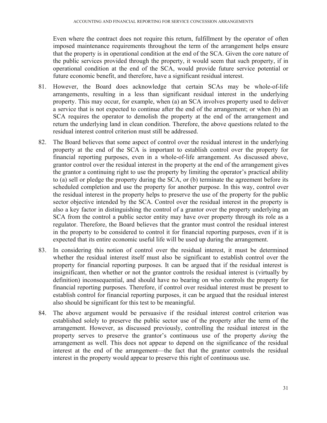Even where the contract does not require this return, fulfillment by the operator of often imposed maintenance requirements throughout the term of the arrangement helps ensure that the property is in operational condition at the end of the SCA. Given the core nature of the public services provided through the property, it would seem that such property, if in operational condition at the end of the SCA, would provide future service potential or future economic benefit, and therefore, have a significant residual interest.

- 81. However, the Board does acknowledge that certain SCAs may be whole-of-life arrangements, resulting in a less than significant residual interest in the underlying property. This may occur, for example, when (a) an SCA involves property used to deliver a service that is not expected to continue after the end of the arrangement; or when (b) an SCA requires the operator to demolish the property at the end of the arrangement and return the underlying land in clean condition. Therefore, the above questions related to the residual interest control criterion must still be addressed.
- 82. The Board believes that some aspect of control over the residual interest in the underlying property at the end of the SCA is important to establish control over the property for financial reporting purposes, even in a whole-of-life arrangement. As discussed above, grantor control over the residual interest in the property at the end of the arrangement gives the grantor a continuing right to use the property by limiting the operator's practical ability to (a) sell or pledge the property during the SCA, or (b) terminate the agreement before its scheduled completion and use the property for another purpose. In this way, control over the residual interest in the property helps to preserve the use of the property for the public sector objective intended by the SCA. Control over the residual interest in the property is also a key factor in distinguishing the control of a grantor over the property underlying an SCA from the control a public sector entity may have over property through its role as a regulator. Therefore, the Board believes that the grantor must control the residual interest in the property to be considered to control it for financial reporting purposes, even if it is expected that its entire economic useful life will be used up during the arrangement.
- 83. In considering this notion of control over the residual interest, it must be determined whether the residual interest itself must also be significant to establish control over the property for financial reporting purposes. It can be argued that if the residual interest is insignificant, then whether or not the grantor controls the residual interest is (virtually by definition) inconsequential, and should have no bearing on who controls the property for financial reporting purposes. Therefore, if control over residual interest must be present to establish control for financial reporting purposes, it can be argued that the residual interest also should be significant for this test to be meaningful.
- 84. The above argument would be persuasive if the residual interest control criterion was established solely to preserve the public sector use of the property after the term of the arrangement. However, as discussed previously, controlling the residual interest in the property serves to preserve the grantor's continuous use of the property *during* the arrangement as well. This does not appear to depend on the significance of the residual interest at the end of the arrangement—the fact that the grantor controls the residual interest in the property would appear to preserve this right of continuous use.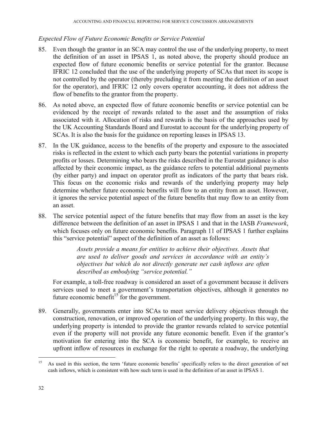#### *Expected Flow of Future Economic Benefits or Service Potential*

- 85. Even though the grantor in an SCA may control the use of the underlying property, to meet the definition of an asset in IPSAS 1, as noted above, the property should produce an expected flow of future economic benefits or service potential for the grantor. Because IFRIC 12 concluded that the use of the underlying property of SCAs that meet its scope is not controlled by the operator (thereby precluding it from meeting the definition of an asset for the operator), and IFRIC 12 only covers operator accounting, it does not address the flow of benefits to the grantor from the property.
- 86. As noted above, an expected flow of future economic benefits or service potential can be evidenced by the receipt of rewards related to the asset and the assumption of risks associated with it. Allocation of risks and rewards is the basis of the approaches used by the UK Accounting Standards Board and Eurostat to account for the underlying property of SCAs. It is also the basis for the guidance on reporting leases in IPSAS 13.
- 87. In the UK guidance, access to the benefits of the property and exposure to the associated risks is reflected in the extent to which each party bears the potential variations in property profits or losses. Determining who bears the risks described in the Eurostat guidance is also affected by their economic impact, as the guidance refers to potential additional payments (by either party) and impact on operator profit as indicators of the party that bears risk. This focus on the economic risks and rewards of the underlying property may help determine whether future economic benefits will flow to an entity from an asset. However, it ignores the service potential aspect of the future benefits that may flow to an entity from an asset.
- 88. The service potential aspect of the future benefits that may flow from an asset is the key difference between the definition of an asset in IPSAS 1 and that in the IASB *Framework*, which focuses only on future economic benefits. Paragraph 11 of IPSAS 1 further explains this "service potential" aspect of the definition of an asset as follows:

*Assets provide a means for entities to achieve their objectives. Assets that are used to deliver goods and services in accordance with an entity's objectives but which do not directly generate net cash inflows are often described as embodying "service potential."* 

For example, a toll-free roadway is considered an asset of a government because it delivers services used to meet a government's transportation objectives, although it generates no future economic benefit<sup>15</sup> for the government.

89. Generally, governments enter into SCAs to meet service delivery objectives through the construction, renovation, or improved operation of the underlying property. In this way, the underlying property is intended to provide the grantor rewards related to service potential even if the property will not provide any future economic benefit. Even if the grantor's motivation for entering into the SCA is economic benefit, for example, to receive an upfront inflow of resources in exchange for the right to operate a roadway, the underlying

<sup>&</sup>lt;sup>15</sup> As used in this section, the term 'future economic benefits' specifically refers to the direct generation of net cash inflows, which is consistent with how such term is used in the definition of an asset in IPSAS 1.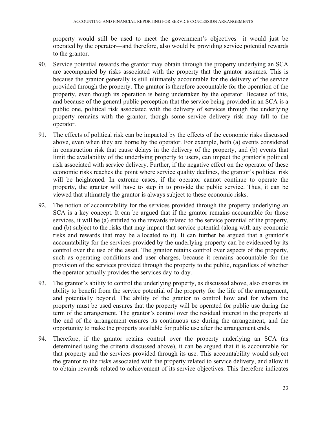property would still be used to meet the government's objectives—it would just be operated by the operator—and therefore, also would be providing service potential rewards to the grantor.

- 90. Service potential rewards the grantor may obtain through the property underlying an SCA are accompanied by risks associated with the property that the grantor assumes. This is because the grantor generally is still ultimately accountable for the delivery of the service provided through the property. The grantor is therefore accountable for the operation of the property, even though its operation is being undertaken by the operator. Because of this, and because of the general public perception that the service being provided in an SCA is a public one, political risk associated with the delivery of services through the underlying property remains with the grantor, though some service delivery risk may fall to the operator.
- 91. The effects of political risk can be impacted by the effects of the economic risks discussed above, even when they are borne by the operator. For example, both (a) events considered in construction risk that cause delays in the delivery of the property, and (b) events that limit the availability of the underlying property to users, can impact the grantor's political risk associated with service delivery. Further, if the negative effect on the operator of these economic risks reaches the point where service quality declines, the grantor's political risk will be heightened. In extreme cases, if the operator cannot continue to operate the property, the grantor will have to step in to provide the public service. Thus, it can be viewed that ultimately the grantor is always subject to these economic risks.
- 92. The notion of accountability for the services provided through the property underlying an SCA is a key concept. It can be argued that if the grantor remains accountable for those services, it will be (a) entitled to the rewards related to the service potential of the property, and (b) subject to the risks that may impact that service potential (along with any economic risks and rewards that may be allocated to it). It can further be argued that a grantor's accountability for the services provided by the underlying property can be evidenced by its control over the use of the asset. The grantor retains control over aspects of the property, such as operating conditions and user charges, because it remains accountable for the provision of the services provided through the property to the public, regardless of whether the operator actually provides the services day-to-day.
- 93. The grantor's ability to control the underlying property, as discussed above, also ensures its ability to benefit from the service potential of the property for the life of the arrangement, and potentially beyond. The ability of the grantor to control how and for whom the property must be used ensures that the property will be operated for public use during the term of the arrangement. The grantor's control over the residual interest in the property at the end of the arrangement ensures its continuous use during the arrangement, and the opportunity to make the property available for public use after the arrangement ends.
- 94. Therefore, if the grantor retains control over the property underlying an SCA (as determined using the criteria discussed above), it can be argued that it is accountable for that property and the services provided through its use. This accountability would subject the grantor to the risks associated with the property related to service delivery, and allow it to obtain rewards related to achievement of its service objectives. This therefore indicates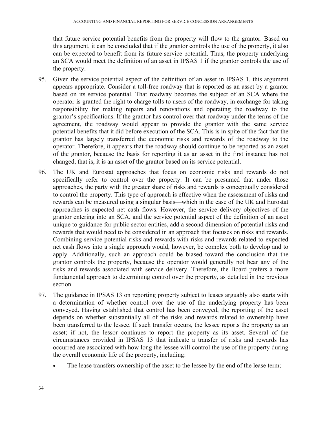that future service potential benefits from the property will flow to the grantor. Based on this argument, it can be concluded that if the grantor controls the use of the property, it also can be expected to benefit from its future service potential. Thus, the property underlying an SCA would meet the definition of an asset in IPSAS 1 if the grantor controls the use of the property.

- 95. Given the service potential aspect of the definition of an asset in IPSAS 1, this argument appears appropriate. Consider a toll-free roadway that is reported as an asset by a grantor based on its service potential. That roadway becomes the subject of an SCA where the operator is granted the right to charge tolls to users of the roadway, in exchange for taking responsibility for making repairs and renovations and operating the roadway to the grantor's specifications. If the grantor has control over that roadway under the terms of the agreement, the roadway would appear to provide the grantor with the same service potential benefits that it did before execution of the SCA. This is in spite of the fact that the grantor has largely transferred the economic risks and rewards of the roadway to the operator. Therefore, it appears that the roadway should continue to be reported as an asset of the grantor, because the basis for reporting it as an asset in the first instance has not changed, that is, it is an asset of the grantor based on its service potential.
- 96. The UK and Eurostat approaches that focus on economic risks and rewards do not specifically refer to control over the property. It can be presumed that under those approaches, the party with the greater share of risks and rewards is conceptually considered to control the property. This type of approach is effective when the assessment of risks and rewards can be measured using a singular basis—which in the case of the UK and Eurostat approaches is expected net cash flows. However, the service delivery objectives of the grantor entering into an SCA, and the service potential aspect of the definition of an asset unique to guidance for public sector entities, add a second dimension of potential risks and rewards that would need to be considered in an approach that focuses on risks and rewards. Combining service potential risks and rewards with risks and rewards related to expected net cash flows into a single approach would, however, be complex both to develop and to apply. Additionally, such an approach could be biased toward the conclusion that the grantor controls the property, because the operator would generally not bear any of the risks and rewards associated with service delivery. Therefore, the Board prefers a more fundamental approach to determining control over the property, as detailed in the previous section.
- 97. The guidance in IPSAS 13 on reporting property subject to leases arguably also starts with a determination of whether control over the use of the underlying property has been conveyed. Having established that control has been conveyed, the reporting of the asset depends on whether substantially all of the risks and rewards related to ownership have been transferred to the lessee. If such transfer occurs, the lessee reports the property as an asset; if not, the lessor continues to report the property as its asset. Several of the circumstances provided in IPSAS 13 that indicate a transfer of risks and rewards has occurred are associated with how long the lessee will control the use of the property during the overall economic life of the property, including:
	- The lease transfers ownership of the asset to the lessee by the end of the lease term;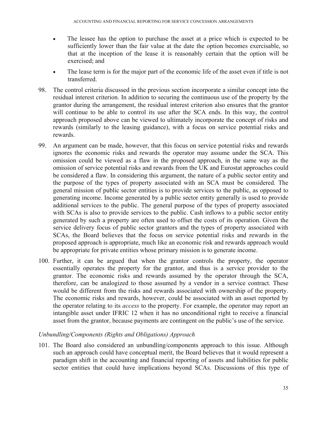- The lessee has the option to purchase the asset at a price which is expected to be sufficiently lower than the fair value at the date the option becomes exercisable, so that at the inception of the lease it is reasonably certain that the option will be exercised; and
- The lease term is for the major part of the economic life of the asset even if title is not transferred.
- 98. The control criteria discussed in the previous section incorporate a similar concept into the residual interest criterion. In addition to securing the continuous use of the property by the grantor during the arrangement, the residual interest criterion also ensures that the grantor will continue to be able to control its use after the SCA ends. In this way, the control approach proposed above can be viewed to ultimately incorporate the concept of risks and rewards (similarly to the leasing guidance), with a focus on service potential risks and rewards.
- 99. An argument can be made, however, that this focus on service potential risks and rewards ignores the economic risks and rewards the operator may assume under the SCA. This omission could be viewed as a flaw in the proposed approach, in the same way as the omission of service potential risks and rewards from the UK and Eurostat approaches could be considered a flaw. In considering this argument, the nature of a public sector entity and the purpose of the types of property associated with an SCA must be considered. The general mission of public sector entities is to provide services to the public, as opposed to generating income. Income generated by a public sector entity generally is used to provide additional services to the public. The general purpose of the types of property associated with SCAs is also to provide services to the public. Cash inflows to a public sector entity generated by such a property are often used to offset the costs of its operation. Given the service delivery focus of public sector grantors and the types of property associated with SCAs, the Board believes that the focus on service potential risks and rewards in the proposed approach is appropriate, much like an economic risk and rewards approach would be appropriate for private entities whose primary mission is to generate income.
- 100. Further, it can be argued that when the grantor controls the property, the operator essentially operates the property for the grantor, and thus is a service provider to the grantor. The economic risks and rewards assumed by the operator through the SCA, therefore, can be analogized to those assumed by a vendor in a service contract. These would be different from the risks and rewards associated with ownership of the property. The economic risks and rewards, however, could be associated with an asset reported by the operator relating to its *access* to the property. For example, the operator may report an intangible asset under IFRIC 12 when it has no unconditional right to receive a financial asset from the grantor, because payments are contingent on the public's use of the service.

#### *Unbundling/Components (Rights and Obligations) Approach*

101. The Board also considered an unbundling/components approach to this issue. Although such an approach could have conceptual merit, the Board believes that it would represent a paradigm shift in the accounting and financial reporting of assets and liabilities for public sector entities that could have implications beyond SCAs. Discussions of this type of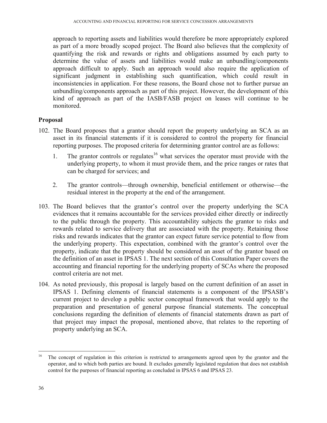approach to reporting assets and liabilities would therefore be more appropriately explored as part of a more broadly scoped project. The Board also believes that the complexity of quantifying the risk and rewards or rights and obligations assumed by each party to determine the value of assets and liabilities would make an unbundling/components approach difficult to apply. Such an approach would also require the application of significant judgment in establishing such quantification, which could result in inconsistencies in application. For these reasons, the Board chose not to further pursue an unbundling/components approach as part of this project. However, the development of this kind of approach as part of the IASB/FASB project on leases will continue to be monitored.

#### **Proposal**

- 102. The Board proposes that a grantor should report the property underlying an SCA as an asset in its financial statements if it is considered to control the property for financial reporting purposes. The proposed criteria for determining grantor control are as follows:
	- 1. The grantor controls or regulates<sup>16</sup> what services the operator must provide with the underlying property, to whom it must provide them, and the price ranges or rates that can be charged for services; and
	- 2. The grantor controls—through ownership, beneficial entitlement or otherwise—the residual interest in the property at the end of the arrangement.
- 103. The Board believes that the grantor's control over the property underlying the SCA evidences that it remains accountable for the services provided either directly or indirectly to the public through the property. This accountability subjects the grantor to risks and rewards related to service delivery that are associated with the property. Retaining those risks and rewards indicates that the grantor can expect future service potential to flow from the underlying property. This expectation, combined with the grantor's control over the property, indicate that the property should be considered an asset of the grantor based on the definition of an asset in IPSAS 1. The next section of this Consultation Paper covers the accounting and financial reporting for the underlying property of SCAs where the proposed control criteria are not met.
- 104. As noted previously, this proposal is largely based on the current definition of an asset in IPSAS 1. Defining elements of financial statements is a component of the IPSASB's current project to develop a public sector conceptual framework that would apply to the preparation and presentation of general purpose financial statements. The conceptual conclusions regarding the definition of elements of financial statements drawn as part of that project may impact the proposal, mentioned above, that relates to the reporting of property underlying an SCA.

<sup>&</sup>lt;sup>16</sup> The concept of regulation in this criterion is restricted to arrangements agreed upon by the grantor and the operator, and to which both parties are bound. It excludes generally legislated regulation that does not establish control for the purposes of financial reporting as concluded in IPSAS 6 and IPSAS 23.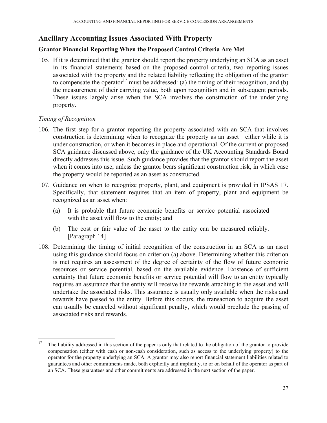## **Ancillary Accounting Issues Associated With Property**

### **Grantor Financial Reporting When the Proposed Control Criteria Are Met**

105. If it is determined that the grantor should report the property underlying an SCA as an asset in its financial statements based on the proposed control criteria, two reporting issues associated with the property and the related liability reflecting the obligation of the grantor to compensate the operator<sup>17</sup> must be addressed: (a) the timing of their recognition, and (b) the measurement of their carrying value, both upon recognition and in subsequent periods. These issues largely arise when the SCA involves the construction of the underlying property.

### *Timing of Recognition*

- 106. The first step for a grantor reporting the property associated with an SCA that involves construction is determining when to recognize the property as an asset—either while it is under construction, or when it becomes in place and operational. Of the current or proposed SCA guidance discussed above, only the guidance of the UK Accounting Standards Board directly addresses this issue. Such guidance provides that the grantor should report the asset when it comes into use, unless the grantor bears significant construction risk, in which case the property would be reported as an asset as constructed.
- 107. Guidance on when to recognize property, plant, and equipment is provided in IPSAS 17. Specifically, that statement requires that an item of property, plant and equipment be recognized as an asset when:
	- (a) It is probable that future economic benefits or service potential associated with the asset will flow to the entity; and
	- (b) The cost or fair value of the asset to the entity can be measured reliably. [Paragraph 14]
- 108. Determining the timing of initial recognition of the construction in an SCA as an asset using this guidance should focus on criterion (a) above. Determining whether this criterion is met requires an assessment of the degree of certainty of the flow of future economic resources or service potential, based on the available evidence. Existence of sufficient certainty that future economic benefits or service potential will flow to an entity typically requires an assurance that the entity will receive the rewards attaching to the asset and will undertake the associated risks. This assurance is usually only available when the risks and rewards have passed to the entity. Before this occurs, the transaction to acquire the asset can usually be canceled without significant penalty, which would preclude the passing of associated risks and rewards.

<sup>17</sup> 17 The liability addressed in this section of the paper is only that related to the obligation of the grantor to provide compensation (either with cash or non-cash consideration, such as access to the underlying property) to the operator for the property underlying an SCA. A grantor may also report financial statement liabilities related to guarantees and other commitments made, both explicitly and implicitly, to or on behalf of the operator as part of an SCA. These guarantees and other commitments are addressed in the next section of the paper.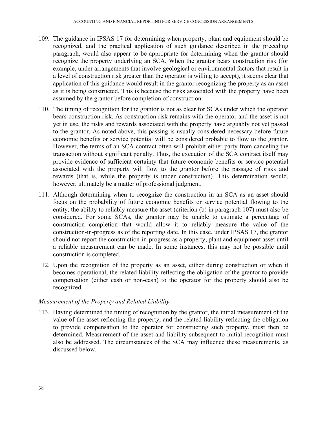- 109. The guidance in IPSAS 17 for determining when property, plant and equipment should be recognized, and the practical application of such guidance described in the preceding paragraph, would also appear to be appropriate for determining when the grantor should recognize the property underlying an SCA. When the grantor bears construction risk (for example, under arrangements that involve geological or environmental factors that result in a level of construction risk greater than the operator is willing to accept), it seems clear that application of this guidance would result in the grantor recognizing the property as an asset as it is being constructed. This is because the risks associated with the property have been assumed by the grantor before completion of construction.
- 110. The timing of recognition for the grantor is not as clear for SCAs under which the operator bears construction risk. As construction risk remains with the operator and the asset is not yet in use, the risks and rewards associated with the property have arguably not yet passed to the grantor. As noted above, this passing is usually considered necessary before future economic benefits or service potential will be considered probable to flow to the grantor. However, the terms of an SCA contract often will prohibit either party from canceling the transaction without significant penalty. Thus, the execution of the SCA contract itself may provide evidence of sufficient certainty that future economic benefits or service potential associated with the property will flow to the grantor before the passage of risks and rewards (that is, while the property is under construction). This determination would, however, ultimately be a matter of professional judgment.
- 111. Although determining when to recognize the construction in an SCA as an asset should focus on the probability of future economic benefits or service potential flowing to the entity, the ability to reliably measure the asset (criterion (b) in paragraph 107) must also be considered. For some SCAs, the grantor may be unable to estimate a percentage of construction completion that would allow it to reliably measure the value of the construction-in-progress as of the reporting date. In this case, under IPSAS 17, the grantor should not report the construction-in-progress as a property, plant and equipment asset until a reliable measurement can be made. In some instances, this may not be possible until construction is completed.
- 112. Upon the recognition of the property as an asset, either during construction or when it becomes operational, the related liability reflecting the obligation of the grantor to provide compensation (either cash or non-cash) to the operator for the property should also be recognized.

## *Measurement of the Property and Related Liability*

113. Having determined the timing of recognition by the grantor, the initial measurement of the value of the asset reflecting the property, and the related liability reflecting the obligation to provide compensation to the operator for constructing such property, must then be determined. Measurement of the asset and liability subsequent to initial recognition must also be addressed. The circumstances of the SCA may influence these measurements, as discussed below.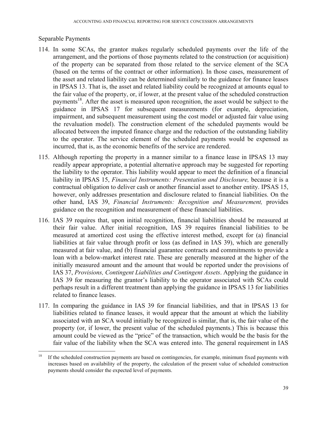### Separable Payments

 $\overline{a}$ 

- 114. In some SCAs, the grantor makes regularly scheduled payments over the life of the arrangement, and the portions of those payments related to the construction (or acquisition) of the property can be separated from those related to the service element of the SCA (based on the terms of the contract or other information). In those cases, measurement of the asset and related liability can be determined similarly to the guidance for finance leases in IPSAS 13. That is, the asset and related liability could be recognized at amounts equal to the fair value of the property, or, if lower, at the present value of the scheduled construction payments<sup>18</sup>. After the asset is measured upon recognition, the asset would be subject to the guidance in IPSAS 17 for subsequent measurements (for example, depreciation, impairment, and subsequent measurement using the cost model or adjusted fair value using the revaluation model). The construction element of the scheduled payments would be allocated between the imputed finance charge and the reduction of the outstanding liability to the operator. The service element of the scheduled payments would be expensed as incurred, that is, as the economic benefits of the service are rendered.
- 115. Although reporting the property in a manner similar to a finance lease in IPSAS 13 may readily appear appropriate, a potential alternative approach may be suggested for reporting the liability to the operator. This liability would appear to meet the definition of a financial liability in IPSAS 15, *Financial Instruments: Presentation and Disclosure,* because it is a contractual obligation to deliver cash or another financial asset to another entity. IPSAS 15, however, only addresses presentation and disclosure related to financial liabilities. On the other hand, IAS 39, *Financial Instruments: Recognition and Measurement,* provides guidance on the recognition and measurement of these financial liabilities.
- 116. IAS 39 requires that, upon initial recognition, financial liabilities should be measured at their fair value. After initial recognition, IAS 39 requires financial liabilities to be measured at amortized cost using the effective interest method, except for (a) financial liabilities at fair value through profit or loss (as defined in IAS 39), which are generally measured at fair value, and (b) financial guarantee contracts and commitments to provide a loan with a below-market interest rate. These are generally measured at the higher of the initially measured amount and the amount that would be reported under the provisions of IAS 37, *Provisions, Contingent Liabilities and Contingent Assets*. Applying the guidance in IAS 39 for measuring the grantor's liability to the operator associated with SCAs could perhaps result in a different treatment than applying the guidance in IPSAS 13 for liabilities related to finance leases.
- 117. In comparing the guidance in IAS 39 for financial liabilities, and that in IPSAS 13 for liabilities related to finance leases, it would appear that the amount at which the liability associated with an SCA would initially be recognized is similar, that is, the fair value of the property (or, if lower, the present value of the scheduled payments.) This is because this amount could be viewed as the "price" of the transaction, which would be the basis for the fair value of the liability when the SCA was entered into. The general requirement in IAS

<sup>&</sup>lt;sup>18</sup> If the scheduled construction payments are based on contingencies, for example, minimum fixed payments with increases based on availability of the property, the calculation of the present value of scheduled construction payments should consider the expected level of payments.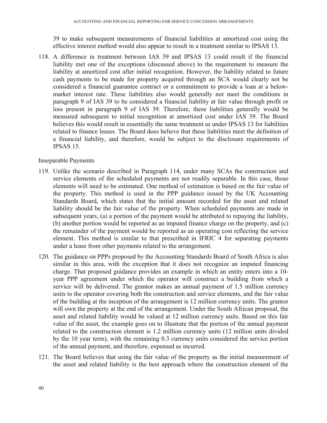39 to make subsequent measurements of financial liabilities at amortized cost using the effective interest method would also appear to result in a treatment similar to IPSAS 13.

118. A difference in treatment between IAS 39 and IPSAS 13 could result if the financial liability met one of the exceptions (discussed above) to the requirement to measure the liability at amortized cost after initial recognition. However, the liability related to future cash payments to be made for property acquired through an SCA would clearly not be considered a financial guarantee contract or a commitment to provide a loan at a belowmarket interest rate. These liabilities also would generally not meet the conditions in paragraph 9 of IAS 39 to be considered a financial liability at fair value through profit or loss present in paragraph 9 of IAS 39. Therefore, these liabilities generally would be measured subsequent to initial recognition at amortized cost under IAS 39. The Board believes this would result in essentially the same treatment as under IPSAS 13 for liabilities related to finance leases. The Board does believe that these liabilities meet the definition of a financial liability, and therefore, would be subject to the disclosure requirements of IPSAS 15.

## Inseparable Payments

- 119. Unlike the scenario described in Paragraph 114, under many SCAs the construction and service elements of the scheduled payments are not readily separable. In this case, those elements will need to be estimated. One method of estimation is based on the fair value of the property. This method is used in the PPP guidance issued by the UK Accounting Standards Board, which states that the initial amount recorded for the asset and related liability should be the fair value of the property. When scheduled payments are made in subsequent years, (a) a portion of the payment would be attributed to repaying the liability, (b) another portion would be reported as an imputed finance charge on the property, and (c) the remainder of the payment would be reported as an operating cost reflecting the service element. This method is similar to that prescribed in IFRIC 4 for separating payments under a lease from other payments related to the arrangement.
- 120. The guidance on PPPs proposed by the Accounting Standards Board of South Africa is also similar in this area, with the exception that it does not recognize an imputed financing charge. That proposed guidance provides an example in which an entity enters into a 10 year PPP agreement under which the operator will construct a building from which a service will be delivered. The grantor makes an annual payment of 1.5 million currency units to the operator covering both the construction and service elements, and the fair value of the building at the inception of the arrangement is 12 million currency units. The grantor will own the property at the end of the arrangement. Under the South African proposal, the asset and related liability would be valued at 12 million currency units. Based on this fair value of the asset, the example goes on to illustrate that the portion of the annual payment related to the construction element is 1.2 million currency units (12 million units divided by the 10 year term), with the remaining 0.3 currency units considered the service portion of the annual payment, and therefore, expensed as incurred.
- 121. The Board believes that using the fair value of the property as the initial measurement of the asset and related liability is the best approach where the construction element of the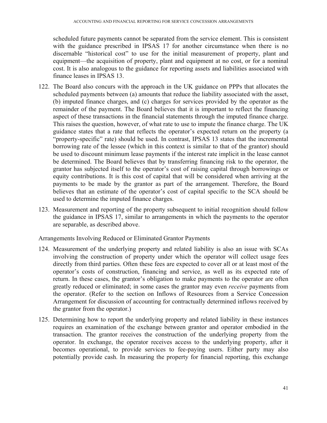scheduled future payments cannot be separated from the service element. This is consistent with the guidance prescribed in IPSAS 17 for another circumstance when there is no discernable "historical cost" to use for the initial measurement of property, plant and equipment—the acquisition of property, plant and equipment at no cost, or for a nominal cost. It is also analogous to the guidance for reporting assets and liabilities associated with finance leases in IPSAS 13.

- 122. The Board also concurs with the approach in the UK guidance on PPPs that allocates the scheduled payments between (a) amounts that reduce the liability associated with the asset, (b) imputed finance charges, and (c) charges for services provided by the operator as the remainder of the payment. The Board believes that it is important to reflect the financing aspect of these transactions in the financial statements through the imputed finance charge. This raises the question, however, of what rate to use to impute the finance charge. The UK guidance states that a rate that reflects the operator's expected return on the property (a "property-specific" rate) should be used. In contrast, IPSAS 13 states that the incremental borrowing rate of the lessee (which in this context is similar to that of the grantor) should be used to discount minimum lease payments if the interest rate implicit in the lease cannot be determined. The Board believes that by transferring financing risk to the operator, the grantor has subjected itself to the operator's cost of raising capital through borrowings or equity contributions. It is this cost of capital that will be considered when arriving at the payments to be made by the grantor as part of the arrangement. Therefore, the Board believes that an estimate of the operator's cost of capital specific to the SCA should be used to determine the imputed finance charges.
- 123. Measurement and reporting of the property subsequent to initial recognition should follow the guidance in IPSAS 17, similar to arrangements in which the payments to the operator are separable, as described above.

Arrangements Involving Reduced or Eliminated Grantor Payments

- 124. Measurement of the underlying property and related liability is also an issue with SCAs involving the construction of property under which the operator will collect usage fees directly from third parties. Often these fees are expected to cover all or at least most of the operator's costs of construction, financing and service, as well as its expected rate of return. In these cases, the grantor's obligation to make payments to the operator are often greatly reduced or eliminated; in some cases the grantor may even *receive* payments from the operator. (Refer to the section on Inflows of Resources from a Service Concession Arrangement for discussion of accounting for contractually determined inflows received by the grantor from the operator.)
- 125. Determining how to report the underlying property and related liability in these instances requires an examination of the exchange between grantor and operator embodied in the transaction. The grantor receives the construction of the underlying property from the operator. In exchange, the operator receives access to the underlying property, after it becomes operational, to provide services to fee-paying users. Either party may also potentially provide cash. In measuring the property for financial reporting, this exchange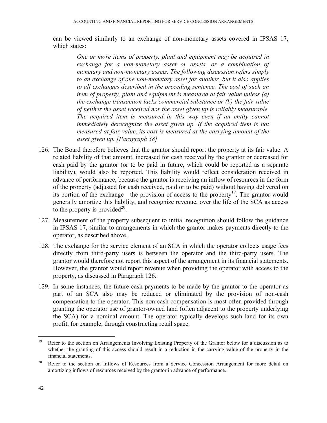can be viewed similarly to an exchange of non-monetary assets covered in IPSAS 17, which states:

*One or more items of property, plant and equipment may be acquired in exchange for a non-monetary asset or assets, or a combination of monetary and non-monetary assets. The following discussion refers simply to an exchange of one non-monetary asset for another, but it also applies to all exchanges described in the preceding sentence. The cost of such an item of property, plant and equipment is measured at fair value unless (a) the exchange transaction lacks commercial substance or (b) the fair value of neither the asset received nor the asset given up is reliably measurable. The acquired item is measured in this way even if an entity cannot immediately derecognize the asset given up. If the acquired item is not measured at fair value, its cost is measured at the carrying amount of the asset given up. [Paragraph 38]* 

- 126. The Board therefore believes that the grantor should report the property at its fair value. A related liability of that amount, increased for cash received by the grantor or decreased for cash paid by the grantor (or to be paid in future, which could be reported as a separate liability), would also be reported. This liability would reflect consideration received in advance of performance, because the grantor is receiving an inflow of resources in the form of the property (adjusted for cash received, paid or to be paid) without having delivered on its portion of the exchange—the provision of access to the property<sup>19</sup>. The grantor would generally amortize this liability, and recognize revenue, over the life of the SCA as access to the property is provided<sup>20</sup>.
- 127. Measurement of the property subsequent to initial recognition should follow the guidance in IPSAS 17, similar to arrangements in which the grantor makes payments directly to the operator, as described above.
- 128. The exchange for the service element of an SCA in which the operator collects usage fees directly from third-party users is between the operator and the third-party users. The grantor would therefore not report this aspect of the arrangement in its financial statements. However, the grantor would report revenue when providing the operator with access to the property, as discussed in Paragraph 126.
- 129. In some instances, the future cash payments to be made by the grantor to the operator as part of an SCA also may be reduced or eliminated by the provision of non-cash compensation to the operator. This non-cash compensation is most often provided through granting the operator use of grantor-owned land (often adjacent to the property underlying the SCA) for a nominal amount. The operator typically develops such land for its own profit, for example, through constructing retail space.

1

<sup>&</sup>lt;sup>19</sup> Refer to the section on Arrangements Involving Existing Property of the Grantor below for a discussion as to whether the granting of this access should result in a reduction in the carrying value of the property in the financial statements.

<sup>&</sup>lt;sup>20</sup> Refer to the section on Inflows of Resources from a Service Concession Arrangement for more detail on amortizing inflows of resources received by the grantor in advance of performance.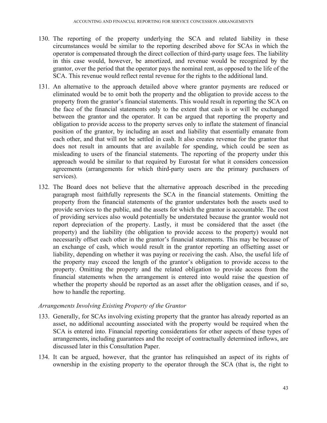- 130. The reporting of the property underlying the SCA and related liability in these circumstances would be similar to the reporting described above for SCAs in which the operator is compensated through the direct collection of third-party usage fees. The liability in this case would, however, be amortized, and revenue would be recognized by the grantor, over the period that the operator pays the nominal rent, as opposed to the life of the SCA. This revenue would reflect rental revenue for the rights to the additional land.
- 131. An alternative to the approach detailed above where grantor payments are reduced or eliminated would be to omit both the property and the obligation to provide access to the property from the grantor's financial statements. This would result in reporting the SCA on the face of the financial statements only to the extent that cash is or will be exchanged between the grantor and the operator. It can be argued that reporting the property and obligation to provide access to the property serves only to inflate the statement of financial position of the grantor, by including an asset and liability that essentially emanate from each other, and that will not be settled in cash. It also creates revenue for the grantor that does not result in amounts that are available for spending, which could be seen as misleading to users of the financial statements. The reporting of the property under this approach would be similar to that required by Eurostat for what it considers concession agreements (arrangements for which third-party users are the primary purchasers of services).
- 132. The Board does not believe that the alternative approach described in the preceding paragraph most faithfully represents the SCA in the financial statements. Omitting the property from the financial statements of the grantor understates both the assets used to provide services to the public, and the assets for which the grantor is accountable. The cost of providing services also would potentially be understated because the grantor would not report depreciation of the property. Lastly, it must be considered that the asset (the property) and the liability (the obligation to provide access to the property) would not necessarily offset each other in the grantor's financial statements. This may be because of an exchange of cash, which would result in the grantor reporting an offsetting asset or liability, depending on whether it was paying or receiving the cash. Also, the useful life of the property may exceed the length of the grantor's obligation to provide access to the property. Omitting the property and the related obligation to provide access from the financial statements when the arrangement is entered into would raise the question of whether the property should be reported as an asset after the obligation ceases, and if so, how to handle the reporting.

## *Arrangements Involving Existing Property of the Grantor*

- 133. Generally, for SCAs involving existing property that the grantor has already reported as an asset, no additional accounting associated with the property would be required when the SCA is entered into. Financial reporting considerations for other aspects of these types of arrangements, including guarantees and the receipt of contractually determined inflows, are discussed later in this Consultation Paper.
- 134. It can be argued, however, that the grantor has relinquished an aspect of its rights of ownership in the existing property to the operator through the SCA (that is, the right to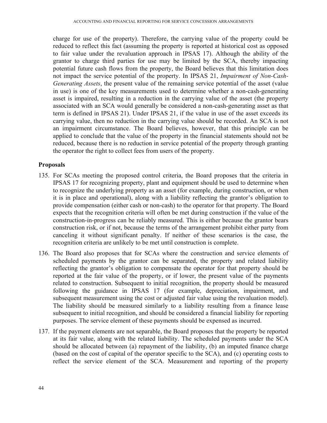charge for use of the property). Therefore, the carrying value of the property could be reduced to reflect this fact (assuming the property is reported at historical cost as opposed to fair value under the revaluation approach in IPSAS 17). Although the ability of the grantor to charge third parties for use may be limited by the SCA, thereby impacting potential future cash flows from the property, the Board believes that this limitation does not impact the service potential of the property. In IPSAS 21, *Impairment of Non-Cash-Generating Assets*, the present value of the remaining service potential of the asset (value in use) is one of the key measurements used to determine whether a non-cash-generating asset is impaired, resulting in a reduction in the carrying value of the asset (the property associated with an SCA would generally be considered a non-cash-generating asset as that term is defined in IPSAS 21). Under IPSAS 21, if the value in use of the asset exceeds its carrying value, then no reduction in the carrying value should be recorded. An SCA is not an impairment circumstance. The Board believes, however, that this principle can be applied to conclude that the value of the property in the financial statements should not be reduced, because there is no reduction in service potential of the property through granting the operator the right to collect fees from users of the property.

#### **Proposals**

- 135. For SCAs meeting the proposed control criteria, the Board proposes that the criteria in IPSAS 17 for recognizing property, plant and equipment should be used to determine when to recognize the underlying property as an asset (for example, during construction, or when it is in place and operational), along with a liability reflecting the grantor's obligation to provide compensation (either cash or non-cash) to the operator for that property. The Board expects that the recognition criteria will often be met during construction if the value of the construction-in-progress can be reliably measured. This is either because the grantor bears construction risk, or if not, because the terms of the arrangement prohibit either party from canceling it without significant penalty. If neither of these scenarios is the case, the recognition criteria are unlikely to be met until construction is complete.
- 136. The Board also proposes that for SCAs where the construction and service elements of scheduled payments by the grantor can be separated, the property and related liability reflecting the grantor's obligation to compensate the operator for that property should be reported at the fair value of the property, or if lower, the present value of the payments related to construction. Subsequent to initial recognition, the property should be measured following the guidance in IPSAS 17 (for example, depreciation, impairment, and subsequent measurement using the cost or adjusted fair value using the revaluation model). The liability should be measured similarly to a liability resulting from a finance lease subsequent to initial recognition, and should be considered a financial liability for reporting purposes. The service element of these payments should be expensed as incurred.
- 137. If the payment elements are not separable, the Board proposes that the property be reported at its fair value, along with the related liability. The scheduled payments under the SCA should be allocated between (a) repayment of the liability, (b) an imputed finance charge (based on the cost of capital of the operator specific to the SCA), and (c) operating costs to reflect the service element of the SCA. Measurement and reporting of the property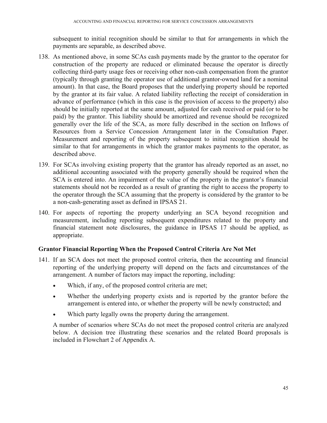subsequent to initial recognition should be similar to that for arrangements in which the payments are separable, as described above.

- 138. As mentioned above, in some SCAs cash payments made by the grantor to the operator for construction of the property are reduced or eliminated because the operator is directly collecting third-party usage fees or receiving other non-cash compensation from the grantor (typically through granting the operator use of additional grantor-owned land for a nominal amount). In that case, the Board proposes that the underlying property should be reported by the grantor at its fair value. A related liability reflecting the receipt of consideration in advance of performance (which in this case is the provision of access to the property) also should be initially reported at the same amount, adjusted for cash received or paid (or to be paid) by the grantor. This liability should be amortized and revenue should be recognized generally over the life of the SCA, as more fully described in the section on Inflows of Resources from a Service Concession Arrangement later in the Consultation Paper. Measurement and reporting of the property subsequent to initial recognition should be similar to that for arrangements in which the grantor makes payments to the operator, as described above.
- 139. For SCAs involving existing property that the grantor has already reported as an asset, no additional accounting associated with the property generally should be required when the SCA is entered into. An impairment of the value of the property in the grantor's financial statements should not be recorded as a result of granting the right to access the property to the operator through the SCA assuming that the property is considered by the grantor to be a non-cash-generating asset as defined in IPSAS 21.
- 140. For aspects of reporting the property underlying an SCA beyond recognition and measurement, including reporting subsequent expenditures related to the property and financial statement note disclosures, the guidance in IPSAS 17 should be applied, as appropriate.

## **Grantor Financial Reporting When the Proposed Control Criteria Are Not Met**

- 141. If an SCA does not meet the proposed control criteria, then the accounting and financial reporting of the underlying property will depend on the facts and circumstances of the arrangement. A number of factors may impact the reporting, including:
	- Which, if any, of the proposed control criteria are met;
	- Whether the underlying property exists and is reported by the grantor before the arrangement is entered into, or whether the property will be newly constructed; and
	- Which party legally owns the property during the arrangement.

A number of scenarios where SCAs do not meet the proposed control criteria are analyzed below. A decision tree illustrating these scenarios and the related Board proposals is included in Flowchart 2 of Appendix A.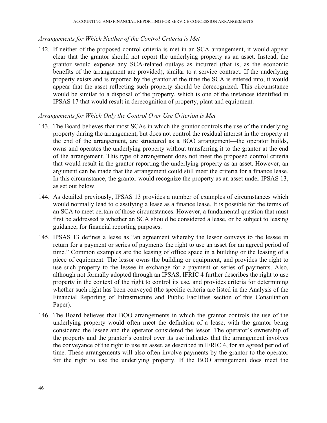### *Arrangements for Which Neither of the Control Criteria is Met*

142. If neither of the proposed control criteria is met in an SCA arrangement, it would appear clear that the grantor should not report the underlying property as an asset. Instead, the grantor would expense any SCA-related outlays as incurred (that is, as the economic benefits of the arrangement are provided), similar to a service contract. If the underlying property exists and is reported by the grantor at the time the SCA is entered into, it would appear that the asset reflecting such property should be derecognized. This circumstance would be similar to a disposal of the property, which is one of the instances identified in IPSAS 17 that would result in derecognition of property, plant and equipment.

### *Arrangements for Which Only the Control Over Use Criterion is Met*

- 143. The Board believes that most SCAs in which the grantor controls the use of the underlying property during the arrangement, but does not control the residual interest in the property at the end of the arrangement, are structured as a BOO arrangement—the operator builds, owns and operates the underlying property without transferring it to the grantor at the end of the arrangement. This type of arrangement does not meet the proposed control criteria that would result in the grantor reporting the underlying property as an asset. However, an argument can be made that the arrangement could still meet the criteria for a finance lease. In this circumstance, the grantor would recognize the property as an asset under IPSAS 13, as set out below.
- 144. As detailed previously, IPSAS 13 provides a number of examples of circumstances which would normally lead to classifying a lease as a finance lease. It is possible for the terms of an SCA to meet certain of those circumstances. However, a fundamental question that must first be addressed is whether an SCA should be considered a lease, or be subject to leasing guidance, for financial reporting purposes.
- 145. IPSAS 13 defines a lease as "an agreement whereby the lessor conveys to the lessee in return for a payment or series of payments the right to use an asset for an agreed period of time." Common examples are the leasing of office space in a building or the leasing of a piece of equipment. The lessor owns the building or equipment, and provides the right to use such property to the lessee in exchange for a payment or series of payments. Also, although not formally adopted through an IPSAS, IFRIC 4 further describes the right to use property in the context of the right to control its use, and provides criteria for determining whether such right has been conveyed (the specific criteria are listed in the Analysis of the Financial Reporting of Infrastructure and Public Facilities section of this Consultation Paper).
- 146. The Board believes that BOO arrangements in which the grantor controls the use of the underlying property would often meet the definition of a lease, with the grantor being considered the lessee and the operator considered the lessor. The operator's ownership of the property and the grantor's control over its use indicates that the arrangement involves the conveyance of the right to use an asset, as described in IFRIC 4, for an agreed period of time. These arrangements will also often involve payments by the grantor to the operator for the right to use the underlying property. If the BOO arrangement does meet the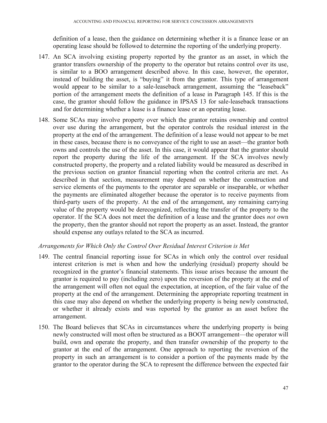definition of a lease, then the guidance on determining whether it is a finance lease or an operating lease should be followed to determine the reporting of the underlying property.

- 147. An SCA involving existing property reported by the grantor as an asset, in which the grantor transfers ownership of the property to the operator but retains control over its use, is similar to a BOO arrangement described above. In this case, however, the operator, instead of building the asset, is "buying" it from the grantor. This type of arrangement would appear to be similar to a sale-leaseback arrangement, assuming the "leaseback" portion of the arrangement meets the definition of a lease in Paragraph 145. If this is the case, the grantor should follow the guidance in IPSAS 13 for sale-leaseback transactions and for determining whether a lease is a finance lease or an operating lease.
- 148. Some SCAs may involve property over which the grantor retains ownership and control over use during the arrangement, but the operator controls the residual interest in the property at the end of the arrangement. The definition of a lease would not appear to be met in these cases, because there is no conveyance of the right to use an asset—the grantor both owns and controls the use of the asset. In this case, it would appear that the grantor should report the property during the life of the arrangement. If the SCA involves newly constructed property, the property and a related liability would be measured as described in the previous section on grantor financial reporting when the control criteria are met. As described in that section, measurement may depend on whether the construction and service elements of the payments to the operator are separable or inseparable, or whether the payments are eliminated altogether because the operator is to receive payments from third-party users of the property. At the end of the arrangement, any remaining carrying value of the property would be derecognized, reflecting the transfer of the property to the operator. If the SCA does not meet the definition of a lease and the grantor does *not* own the property, then the grantor should not report the property as an asset. Instead, the grantor should expense any outlays related to the SCA as incurred.

## *Arrangements for Which Only the Control Over Residual Interest Criterion is Met*

- 149. The central financial reporting issue for SCAs in which only the control over residual interest criterion is met is when and how the underlying (residual) property should be recognized in the grantor's financial statements. This issue arises because the amount the grantor is required to pay (including zero) upon the reversion of the property at the end of the arrangement will often not equal the expectation, at inception, of the fair value of the property at the end of the arrangement. Determining the appropriate reporting treatment in this case may also depend on whether the underlying property is being newly constructed, or whether it already exists and was reported by the grantor as an asset before the arrangement.
- 150. The Board believes that SCAs in circumstances where the underlying property is being newly constructed will most often be structured as a BOOT arrangement—the operator will build, own and operate the property, and then transfer ownership of the property to the grantor at the end of the arrangement. One approach to reporting the reversion of the property in such an arrangement is to consider a portion of the payments made by the grantor to the operator during the SCA to represent the difference between the expected fair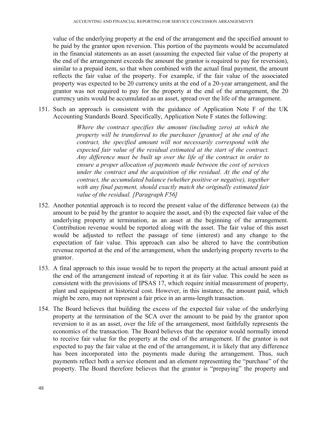value of the underlying property at the end of the arrangement and the specified amount to be paid by the grantor upon reversion. This portion of the payments would be accumulated in the financial statements as an asset (assuming the expected fair value of the property at the end of the arrangement exceeds the amount the grantor is required to pay for reversion), similar to a prepaid item, so that when combined with the actual final payment, the amount reflects the fair value of the property. For example, if the fair value of the associated property was expected to be 20 currency units at the end of a 20-year arrangement, and the grantor was not required to pay for the property at the end of the arrangement, the 20 currency units would be accumulated as an asset, spread over the life of the arrangement.

151. Such an approach is consistent with the guidance of Application Note F of the UK Accounting Standards Board. Specifically, Application Note F states the following:

> *Where the contract specifies the amount (including zero) at which the property will be transferred to the purchaser [grantor] at the end of the contract, the specified amount will not necessarily correspond with the expected fair value of the residual estimated at the start of the contract. Any difference must be built up over the life of the contract in order to ensure a proper allocation of payments made between the cost of services under the contract and the acquisition of the residual. At the end of the contract, the accumulated balance (whether positive or negative), together with any final payment, should exactly match the originally estimated fair value of the residual. [Paragraph F56]*

- 152. Another potential approach is to record the present value of the difference between (a) the amount to be paid by the grantor to acquire the asset, and (b) the expected fair value of the underlying property at termination, as an asset at the beginning of the arrangement. Contribution revenue would be reported along with the asset. The fair value of this asset would be adjusted to reflect the passage of time (interest) and any change to the expectation of fair value. This approach can also be altered to have the contribution revenue reported at the end of the arrangement, when the underlying property reverts to the grantor.
- 153. A final approach to this issue would be to report the property at the actual amount paid at the end of the arrangement instead of reporting it at its fair value. This could be seen as consistent with the provisions of IPSAS 17, which require initial measurement of property, plant and equipment at historical cost. However, in this instance, the amount paid, which might be zero, may not represent a fair price in an arms-length transaction.
- 154. The Board believes that building the excess of the expected fair value of the underlying property at the termination of the SCA over the amount to be paid by the grantor upon reversion to it as an asset, over the life of the arrangement, most faithfully represents the economics of the transaction. The Board believes that the operator would normally intend to receive fair value for the property at the end of the arrangement. If the grantor is not expected to pay the fair value at the end of the arrangement, it is likely that any difference has been incorporated into the payments made during the arrangement. Thus, such payments reflect both a service element and an element representing the "purchase" of the property. The Board therefore believes that the grantor is "prepaying" the property and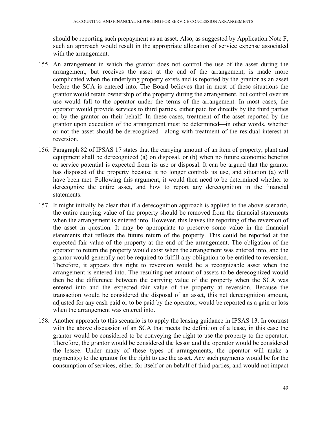should be reporting such prepayment as an asset. Also, as suggested by Application Note F, such an approach would result in the appropriate allocation of service expense associated with the arrangement.

- 155. An arrangement in which the grantor does not control the use of the asset during the arrangement, but receives the asset at the end of the arrangement, is made more complicated when the underlying property exists and is reported by the grantor as an asset before the SCA is entered into. The Board believes that in most of these situations the grantor would retain ownership of the property during the arrangement, but control over its use would fall to the operator under the terms of the arrangement. In most cases, the operator would provide services to third parties, either paid for directly by the third parties or by the grantor on their behalf. In these cases, treatment of the asset reported by the grantor upon execution of the arrangement must be determined—in other words, whether or not the asset should be derecognized—along with treatment of the residual interest at reversion.
- 156. Paragraph 82 of IPSAS 17 states that the carrying amount of an item of property, plant and equipment shall be derecognized (a) on disposal, or (b) when no future economic benefits or service potential is expected from its use or disposal. It can be argued that the grantor has disposed of the property because it no longer controls its use, and situation (a) will have been met. Following this argument, it would then need to be determined whether to derecognize the entire asset, and how to report any derecognition in the financial statements.
- 157. It might initially be clear that if a derecognition approach is applied to the above scenario, the entire carrying value of the property should be removed from the financial statements when the arrangement is entered into. However, this leaves the reporting of the reversion of the asset in question. It may be appropriate to preserve some value in the financial statements that reflects the future return of the property. This could be reported at the expected fair value of the property at the end of the arrangement. The obligation of the operator to return the property would exist when the arrangement was entered into, and the grantor would generally not be required to fulfill any obligation to be entitled to reversion. Therefore, it appears this right to reversion would be a recognizable asset when the arrangement is entered into. The resulting net amount of assets to be derecognized would then be the difference between the carrying value of the property when the SCA was entered into and the expected fair value of the property at reversion. Because the transaction would be considered the disposal of an asset, this net derecognition amount, adjusted for any cash paid or to be paid by the operator, would be reported as a gain or loss when the arrangement was entered into.
- 158. Another approach to this scenario is to apply the leasing guidance in IPSAS 13. In contrast with the above discussion of an SCA that meets the definition of a lease, in this case the grantor would be considered to be conveying the right to use the property to the operator. Therefore, the grantor would be considered the lessor and the operator would be considered the lessee. Under many of these types of arrangements, the operator will make a payment(s) to the grantor for the right to use the asset. Any such payments would be for the consumption of services, either for itself or on behalf of third parties, and would not impact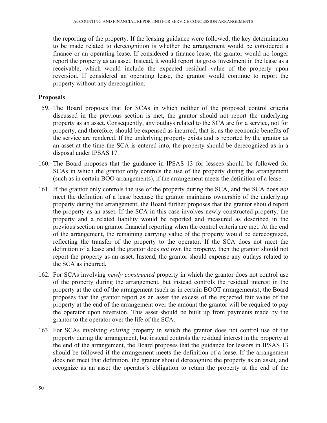the reporting of the property. If the leasing guidance were followed, the key determination to be made related to derecognition is whether the arrangement would be considered a finance or an operating lease. If considered a finance lease, the grantor would no longer report the property as an asset. Instead, it would report its gross investment in the lease as a receivable, which would include the expected residual value of the property upon reversion. If considered an operating lease, the grantor would continue to report the property without any derecognition.

### **Proposals**

- 159. The Board proposes that for SCAs in which neither of the proposed control criteria discussed in the previous section is met, the grantor should not report the underlying property as an asset. Consequently, any outlays related to the SCA are for a service, not for property, and therefore, should be expensed as incurred, that is, as the economic benefits of the service are rendered. If the underlying property exists and is reported by the grantor as an asset at the time the SCA is entered into, the property should be derecognized as in a disposal under IPSAS 17.
- 160. The Board proposes that the guidance in IPSAS 13 for lessees should be followed for SCAs in which the grantor only controls the use of the property during the arrangement (such as in certain BOO arrangements), if the arrangement meets the definition of a lease.
- 161. If the grantor only controls the use of the property during the SCA, and the SCA does *not* meet the definition of a lease because the grantor maintains ownership of the underlying property during the arrangement, the Board further proposes that the grantor should report the property as an asset. If the SCA in this case involves newly constructed property, the property and a related liability would be reported and measured as described in the previous section on grantor financial reporting when the control criteria are met. At the end of the arrangement, the remaining carrying value of the property would be derecognized, reflecting the transfer of the property to the operator. If the SCA does not meet the definition of a lease and the grantor does *not* own the property, then the grantor should not report the property as an asset. Instead, the grantor should expense any outlays related to the SCA as incurred.
- 162. For SCAs involving *newly constructed* property in which the grantor does not control use of the property during the arrangement, but instead controls the residual interest in the property at the end of the arrangement (such as in certain BOOT arrangements), the Board proposes that the grantor report as an asset the excess of the expected fair value of the property at the end of the arrangement over the amount the grantor will be required to pay the operator upon reversion. This asset should be built up from payments made by the grantor to the operator over the life of the SCA.
- 163. For SCAs involving *existing* property in which the grantor does not control use of the property during the arrangement, but instead controls the residual interest in the property at the end of the arrangement, the Board proposes that the guidance for lessors in IPSAS 13 should be followed if the arrangement meets the definition of a lease. If the arrangement does not meet that definition, the grantor should derecognize the property as an asset, and recognize as an asset the operator's obligation to return the property at the end of the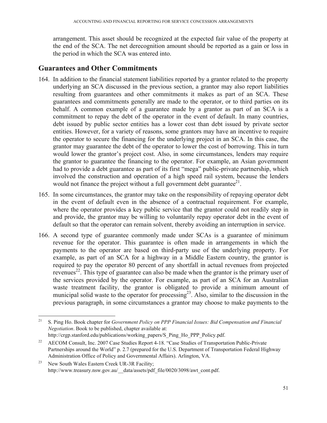arrangement. This asset should be recognized at the expected fair value of the property at the end of the SCA. The net derecognition amount should be reported as a gain or loss in the period in which the SCA was entered into.

# **Guarantees and Other Commitments**

- 164. In addition to the financial statement liabilities reported by a grantor related to the property underlying an SCA discussed in the previous section, a grantor may also report liabilities resulting from guarantees and other commitments it makes as part of an SCA. These guarantees and commitments generally are made to the operator, or to third parties on its behalf. A common example of a guarantee made by a grantor as part of an SCA is a commitment to repay the debt of the operator in the event of default. In many countries, debt issued by public sector entities has a lower cost than debt issued by private sector entities. However, for a variety of reasons, some grantors may have an incentive to require the operator to secure the financing for the underlying project in an SCA. In this case, the grantor may guarantee the debt of the operator to lower the cost of borrowing. This in turn would lower the grantor's project cost. Also, in some circumstances, lenders may require the grantor to guarantee the financing to the operator. For example, an Asian government had to provide a debt guarantee as part of its first "mega" public-private partnership, which involved the construction and operation of a high speed rail system, because the lenders would not finance the project without a full government debt guarantee<sup>21</sup>.
- 165. In some circumstances, the grantor may take on the responsibility of repaying operator debt in the event of default even in the absence of a contractual requirement. For example, where the operator provides a key public service that the grantor could not readily step in and provide, the grantor may be willing to voluntarily repay operator debt in the event of default so that the operator can remain solvent, thereby avoiding an interruption in service.
- 166. A second type of guarantee commonly made under SCAs is a guarantee of minimum revenue for the operator. This guarantee is often made in arrangements in which the payments to the operator are based on third-party use of the underlying property. For example, as part of an SCA for a highway in a Middle Eastern country, the grantor is required to pay the operator 80 percent of any shortfall in actual revenues from projected revenues<sup>22</sup>. This type of guarantee can also be made when the grantor is the primary user of the services provided by the operator. For example, as part of an SCA for an Australian waste treatment facility, the grantor is obligated to provide a minimum amount of municipal solid waste to the operator for processing<sup>23</sup>. Also, similar to the discussion in the previous paragraph, in some circumstances a grantor may choose to make payments to the

 $\overline{a}$ 

<sup>21</sup> S. Ping Ho. Book chapter for *Government Policy on PPP Financial Issues: Bid Compensation and Financial Negotiation*. Book to be published, chapter available at: http://crgp.stanford.edu/publications/working\_papers/S\_Ping\_Ho\_PPP\_Policy.pdf.

<sup>&</sup>lt;sup>22</sup> AECOM Consult, Inc. 2007 Case Studies Report 4-18. "Case Studies of Transportation Public-Private Partnerships around the World" p. 2.7 (prepared for the U.S. Department of Transportation Federal Highway Administration Office of Policy and Governmental Affairs). Arlington, VA.

<sup>&</sup>lt;sup>23</sup> New South Wales Eastern Creek UR-3R Facility; http://www.treasury.nsw.gov.au/ data/assets/pdf file/0020/3098/awt\_cont.pdf.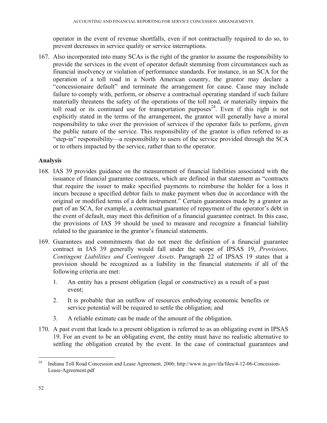operator in the event of revenue shortfalls, even if not contractually required to do so, to prevent decreases in service quality or service interruptions.

167. Also incorporated into many SCAs is the right of the grantor to assume the responsibility to provide the services in the event of operator default stemming from circumstances such as financial insolvency or violation of performance standards. For instance, in an SCA for the operation of a toll road in a North American country, the grantor may declare a "concessionaire default" and terminate the arrangement for cause. Cause may include failure to comply with, perform, or observe a contractual operating standard if such failure materially threatens the safety of the operations of the toll road, or materially impairs the toll road or its continued use for transportation purposes<sup>24</sup>. Even if this right is not explicitly stated in the terms of the arrangement, the grantor will generally have a moral responsibility to take over the provision of services if the operator fails to perform, given the public nature of the service. This responsibility of the grantor is often referred to as "step-in" responsibility—a responsibility to users of the service provided through the SCA or to others impacted by the service, rather than to the operator.

## **Analysis**

- 168. IAS 39 provides guidance on the measurement of financial liabilities associated with the issuance of financial guarantee contracts, which are defined in that statement as "contracts that require the issuer to make specified payments to reimburse the holder for a loss it incurs because a specified debtor fails to make payment when due in accordance with the original or modified terms of a debt instrument." Certain guarantees made by a grantor as part of an SCA, for example, a contractual guarantee of repayment of the operator's debt in the event of default, may meet this definition of a financial guarantee contract. In this case, the provisions of IAS 39 should be used to measure and recognize a financial liability related to the guarantee in the grantor's financial statements.
- 169. Guarantees and commitments that do not meet the definition of a financial guarantee contract in IAS 39 generally would fall under the scope of IPSAS 19, *Provisions, Contingent Liabilities and Contingent Assets*. Paragraph 22 of IPSAS 19 states that a provision should be recognized as a liability in the financial statements if all of the following criteria are met:
	- 1. An entity has a present obligation (legal or constructive) as a result of a past event;
	- 2. It is probable that an outflow of resources embodying economic benefits or service potential will be required to settle the obligation; and
	- 3. A reliable estimate can be made of the amount of the obligation.
- 170. A past event that leads to a present obligation is referred to as an obligating event in IPSAS 19. For an event to be an obligating event, the entity must have no realistic alternative to settling the obligation created by the event. In the case of contractual guarantees and

 $\overline{a}$ 

<sup>&</sup>lt;sup>24</sup> Indiana Toll Road Concession and Lease Agreement, 2006; http://www.in.gov/ifa/files/4-12-06-Concession-Lease-Agreement.pdf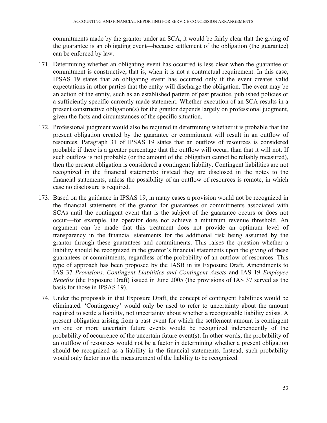commitments made by the grantor under an SCA, it would be fairly clear that the giving of the guarantee is an obligating event—because settlement of the obligation (the guarantee) can be enforced by law.

- 171. Determining whether an obligating event has occurred is less clear when the guarantee or commitment is constructive, that is, when it is not a contractual requirement. In this case, IPSAS 19 states that an obligating event has occurred only if the event creates valid expectations in other parties that the entity will discharge the obligation. The event may be an action of the entity, such as an established pattern of past practice, published policies or a sufficiently specific currently made statement. Whether execution of an SCA results in a present constructive obligation(s) for the grantor depends largely on professional judgment, given the facts and circumstances of the specific situation.
- 172. Professional judgment would also be required in determining whether it is probable that the present obligation created by the guarantee or commitment will result in an outflow of resources. Paragraph 31 of IPSAS 19 states that an outflow of resources is considered probable if there is a greater percentage that the outflow will occur, than that it will not. If such outflow is not probable (or the amount of the obligation cannot be reliably measured), then the present obligation is considered a contingent liability. Contingent liabilities are not recognized in the financial statements; instead they are disclosed in the notes to the financial statements, unless the possibility of an outflow of resources is remote, in which case no disclosure is required.
- 173. Based on the guidance in IPSAS 19, in many cases a provision would not be recognized in the financial statements of the grantor for guarantees or commitments associated with SCAs until the contingent event that is the subject of the guarantee occurs or does not occur—for example, the operator does not achieve a minimum revenue threshold. An argument can be made that this treatment does not provide an optimum level of transparency in the financial statements for the additional risk being assumed by the grantor through these guarantees and commitments. This raises the question whether a liability should be recognized in the grantor's financial statements upon the giving of these guarantees or commitments, regardless of the probability of an outflow of resources. This type of approach has been proposed by the IASB in its Exposure Draft, Amendments to IAS 37 *Provisions, Contingent Liabilities and Contingent Assets* and IAS 19 *Employee Benefits* (the Exposure Draft) issued in June 2005 (the provisions of IAS 37 served as the basis for those in IPSAS 19).
- 174. Under the proposals in that Exposure Draft, the concept of contingent liabilities would be eliminated. 'Contingency' would only be used to refer to uncertainty about the amount required to settle a liability, not uncertainty about whether a recognizable liability exists. A present obligation arising from a past event for which the settlement amount is contingent on one or more uncertain future events would be recognized independently of the probability of occurrence of the uncertain future event(s). In other words, the probability of an outflow of resources would not be a factor in determining whether a present obligation should be recognized as a liability in the financial statements. Instead, such probability would only factor into the measurement of the liability to be recognized.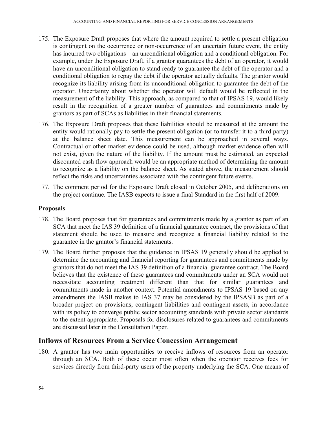- 175. The Exposure Draft proposes that where the amount required to settle a present obligation is contingent on the occurrence or non-occurrence of an uncertain future event, the entity has incurred two obligations—an unconditional obligation and a conditional obligation. For example, under the Exposure Draft, if a grantor guarantees the debt of an operator, it would have an unconditional obligation to stand ready to guarantee the debt of the operator and a conditional obligation to repay the debt if the operator actually defaults. The grantor would recognize its liability arising from its unconditional obligation to guarantee the debt of the operator. Uncertainty about whether the operator will default would be reflected in the measurement of the liability. This approach, as compared to that of IPSAS 19, would likely result in the recognition of a greater number of guarantees and commitments made by grantors as part of SCAs as liabilities in their financial statements.
- 176. The Exposure Draft proposes that these liabilities should be measured at the amount the entity would rationally pay to settle the present obligation (or to transfer it to a third party) at the balance sheet date. This measurement can be approached in several ways. Contractual or other market evidence could be used, although market evidence often will not exist, given the nature of the liability. If the amount must be estimated, an expected discounted cash flow approach would be an appropriate method of determining the amount to recognize as a liability on the balance sheet. As stated above, the measurement should reflect the risks and uncertainties associated with the contingent future events.
- 177. The comment period for the Exposure Draft closed in October 2005, and deliberations on the project continue. The IASB expects to issue a final Standard in the first half of 2009.

### **Proposals**

- 178. The Board proposes that for guarantees and commitments made by a grantor as part of an SCA that meet the IAS 39 definition of a financial guarantee contract, the provisions of that statement should be used to measure and recognize a financial liability related to the guarantee in the grantor's financial statements.
- 179. The Board further proposes that the guidance in IPSAS 19 generally should be applied to determine the accounting and financial reporting for guarantees and commitments made by grantors that do not meet the IAS 39 definition of a financial guarantee contract. The Board believes that the existence of these guarantees and commitments under an SCA would not necessitate accounting treatment different than that for similar guarantees and commitments made in another context. Potential amendments to IPSAS 19 based on any amendments the IASB makes to IAS 37 may be considered by the IPSASB as part of a broader project on provisions, contingent liabilities and contingent assets, in accordance with its policy to converge public sector accounting standards with private sector standards to the extent appropriate. Proposals for disclosures related to guarantees and commitments are discussed later in the Consultation Paper.

## **Inflows of Resources From a Service Concession Arrangement**

180. A grantor has two main opportunities to receive inflows of resources from an operator through an SCA. Both of these occur most often when the operator receives fees for services directly from third-party users of the property underlying the SCA. One means of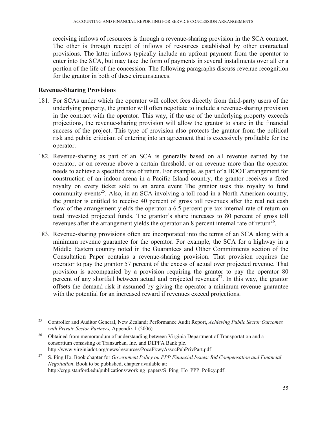receiving inflows of resources is through a revenue-sharing provision in the SCA contract. The other is through receipt of inflows of resources established by other contractual provisions. The latter inflows typically include an upfront payment from the operator to enter into the SCA, but may take the form of payments in several installments over all or a portion of the life of the concession. The following paragraphs discuss revenue recognition for the grantor in both of these circumstances.

### **Revenue-Sharing Provisions**

1

- 181. For SCAs under which the operator will collect fees directly from third-party users of the underlying property, the grantor will often negotiate to include a revenue-sharing provision in the contract with the operator. This way, if the use of the underlying property exceeds projections, the revenue-sharing provision will allow the grantor to share in the financial success of the project. This type of provision also protects the grantor from the political risk and public criticism of entering into an agreement that is excessively profitable for the operator.
- 182. Revenue-sharing as part of an SCA is generally based on all revenue earned by the operator, or on revenue above a certain threshold, or on revenue more than the operator needs to achieve a specified rate of return. For example, as part of a BOOT arrangement for construction of an indoor arena in a Pacific Island country, the grantor receives a fixed royalty on every ticket sold to an arena event The grantor uses this royalty to fund community events<sup>25</sup>. Also, in an SCA involving a toll road in a North American country, the grantor is entitled to receive 40 percent of gross toll revenues after the real net cash flow of the arrangement yields the operator a 6.5 percent pre-tax internal rate of return on total invested projected funds. The grantor's share increases to 80 percent of gross toll revenues after the arrangement yields the operator an  $\delta$  percent internal rate of return<sup>26</sup>.
- 183. Revenue-sharing provisions often are incorporated into the terms of an SCA along with a minimum revenue guarantee for the operator. For example, the SCA for a highway in a Middle Eastern country noted in the Guarantees and Other Commitments section of the Consultation Paper contains a revenue-sharing provision. That provision requires the operator to pay the grantor 57 percent of the excess of actual over projected revenue. That provision is accompanied by a provision requiring the grantor to pay the operator 80 percent of any shortfall between actual and projected revenues<sup>27</sup>. In this way, the grantor offsets the demand risk it assumed by giving the operator a minimum revenue guarantee with the potential for an increased reward if revenues exceed projections.

<sup>25</sup> Controller and Auditor General, New Zealand; Performance Audit Report, *Achieving Public Sector Outcomes with Private Sector Partners,* Appendix 1 (2006)

<sup>&</sup>lt;sup>26</sup> Obtained from memorandum of understanding between Virginia Department of Transportation and a consortium consisting of Transurban, Inc. and DEPFA Bank plc. http://www.virginiadot.org/news/resources/PocaPkwyAssocPubPrivPart.pdf

<sup>27</sup> S. Ping Ho. Book chapter for *Government Policy on PPP Financial Issues: Bid Compensation and Financial Negotiation*. Book to be published, chapter available at: http://crgp.stanford.edu/publications/working\_papers/S\_Ping\_Ho\_PPP\_Policy.pdf .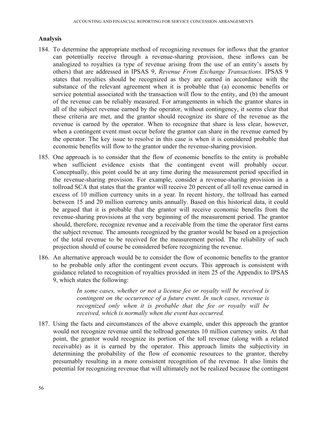### **Analysis**

- 184. To determine the appropriate method of recognizing revenues for inflows that the grantor can potentially receive through a revenue-sharing provision, these inflows can be analogized to royalties (a type of revenue arising from the use of an entity's assets by others) that are addressed in IPSAS 9, *Revenue From Exchange Transactions*. IPSAS 9 states that royalties should be recognized as they are earned in accordance with the substance of the relevant agreement when it is probable that (a) economic benefits or service potential associated with the transaction will flow to the entity, and (b) the amount of the revenue can be reliably measured. For arrangements in which the grantor shares in all of the subject revenue earned by the operator, without contingency, it seems clear that these criteria are met, and the grantor should recognize its share of the revenue as the revenue is earned by the operator. When to recognize that share is less clear, however, when a contingent event must occur before the grantor can share in the revenue earned by the operator. The key issue to resolve in this case is when it is considered probable that economic benefits will flow to the grantor under the revenue-sharing provision.
- 185. One approach is to consider that the flow of economic benefits to the entity is probable when sufficient evidence exists that the contingent event will probably occur. Conceptually, this point could be at any time during the measurement period specified in the revenue-sharing provision. For example, consider a revenue-sharing provision in a tollroad SCA that states that the grantor will receive 20 percent of all toll revenue earned in excess of 10 million currency units in a year. In recent history, the tollroad has earned between 15 and 20 million currency units annually. Based on this historical data, it could be argued that it is probable that the grantor will receive economic benefits from the revenue-sharing provisions at the very beginning of the measurement period. The grantor should, therefore, recognize revenue and a receivable from the time the operator first earns the subject revenue. The amounts recognized by the grantor would be based on a projection of the total revenue to be received for the measurement period. The reliability of such projection should of course be considered before recognizing the revenue.
- 186. An alternative approach would be to consider the flow of economic benefits to the grantor to be probable only after the contingent event occurs. This approach is consistent with guidance related to recognition of royalties provided in item 25 of the Appendix to IPSAS 9, which states the following:

*In some cases, whether or not a license fee or royalty will be received is contingent on the occurrence of a future event. In such cases, revenue is recognized only when it is probable that the fee or royalty will be received, which is normally when the event has occurred.* 

187. Using the facts and circumstances of the above example, under this approach the grantor would not recognize revenue until the tollroad generates 10 million currency units. At that point, the grantor would recognize its portion of the toll revenue (along with a related receivable) as it is earned by the operator. This approach limits the subjectivity in determining the probability of the flow of economic resources to the grantor, thereby presumably resulting in a more consistent recognition of the revenue. It also limits the potential for recognizing revenue that will ultimately not be realized because the contingent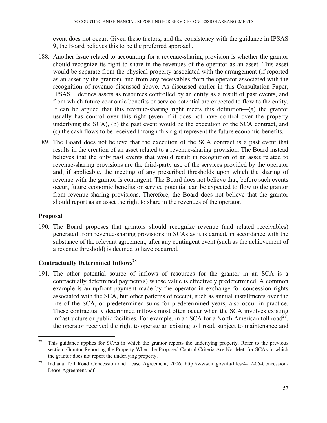event does not occur. Given these factors, and the consistency with the guidance in IPSAS 9, the Board believes this to be the preferred approach.

- 188. Another issue related to accounting for a revenue-sharing provision is whether the grantor should recognize its right to share in the revenues of the operator as an asset. This asset would be separate from the physical property associated with the arrangement (if reported as an asset by the grantor), and from any receivables from the operator associated with the recognition of revenue discussed above. As discussed earlier in this Consultation Paper, IPSAS 1 defines assets as resources controlled by an entity as a result of past events, and from which future economic benefits or service potential are expected to flow to the entity. It can be argued that this revenue-sharing right meets this definition—(a) the grantor usually has control over this right (even if it does not have control over the property underlying the SCA), (b) the past event would be the execution of the SCA contract, and (c) the cash flows to be received through this right represent the future economic benefits.
- 189. The Board does not believe that the execution of the SCA contract is a past event that results in the creation of an asset related to a revenue-sharing provision. The Board instead believes that the only past events that would result in recognition of an asset related to revenue-sharing provisions are the third-party use of the services provided by the operator and, if applicable, the meeting of any prescribed thresholds upon which the sharing of revenue with the grantor is contingent. The Board does not believe that, before such events occur, future economic benefits or service potential can be expected to flow to the grantor from revenue-sharing provisions. Therefore, the Board does not believe that the grantor should report as an asset the right to share in the revenues of the operator.

### **Proposal**

190. The Board proposes that grantors should recognize revenue (and related receivables) generated from revenue-sharing provisions in SCAs as it is earned, in accordance with the substance of the relevant agreement, after any contingent event (such as the achievement of a revenue threshold) is deemed to have occurred.

## **Contractually Determined Inflows<sup>28</sup>**

191. The other potential source of inflows of resources for the grantor in an SCA is a contractually determined payment(s) whose value is effectively predetermined. A common example is an upfront payment made by the operator in exchange for concession rights associated with the SCA, but other patterns of receipt, such as annual installments over the life of the SCA, or predetermined sums for predetermined years, also occur in practice. These contractually determined inflows most often occur when the SCA involves existing infrastructure or public facilities. For example, in an SCA for a North American toll road<sup>29</sup>, the operator received the right to operate an existing toll road, subject to maintenance and

<sup>28</sup> 28 This guidance applies for SCAs in which the grantor reports the underlying property. Refer to the previous section, Grantor Reporting the Property When the Proposed Control Criteria Are Not Met, for SCAs in which the grantor does not report the underlying property.

<sup>&</sup>lt;sup>29</sup> Indiana Toll Road Concession and Lease Agreement, 2006; http://www.in.gov/ifa/files/4-12-06-Concession-Lease-Agreement.pdf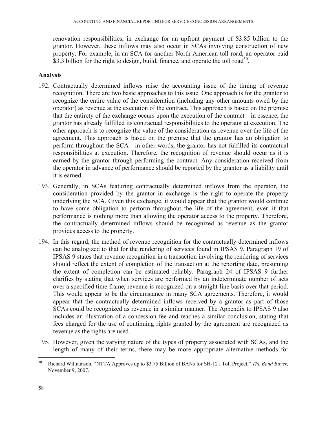renovation responsibilities, in exchange for an upfront payment of \$3.85 billion to the grantor. However, these inflows may also occur in SCAs involving construction of new property. For example, in an SCA for another North American toll road, an operator paid \$3.3 billion for the right to design, build, finance, and operate the toll road<sup>30</sup>.

## **Analysis**

- 192. Contractually determined inflows raise the accounting issue of the timing of revenue recognition. There are two basic approaches to this issue. One approach is for the grantor to recognize the entire value of the consideration (including any other amounts owed by the operator) as revenue at the execution of the contract. This approach is based on the premise that the entirety of the exchange occurs upon the execution of the contract—in essence, the grantor has already fulfilled its contractual responsibilities to the operator at execution. The other approach is to recognize the value of the consideration as revenue over the life of the agreement. This approach is based on the premise that the grantor has an obligation to perform throughout the SCA—in other words, the grantor has not fulfilled its contractual responsibilities at execution. Therefore, the recognition of revenue should occur as it is earned by the grantor through performing the contract. Any consideration received from the operator in advance of performance should be reported by the grantor as a liability until it is earned.
- 193. Generally, in SCAs featuring contractually determined inflows from the operator, the consideration provided by the grantor in exchange is the right to operate the property underlying the SCA. Given this exchange, it would appear that the grantor would continue to have some obligation to perform throughout the life of the agreement, even if that performance is nothing more than allowing the operator access to the property. Therefore, the contractually determined inflows should be recognized as revenue as the grantor provides access to the property.
- 194. In this regard, the method of revenue recognition for the contractually determined inflows can be analogized to that for the rendering of services found in IPSAS 9. Paragraph 19 of IPSAS 9 states that revenue recognition in a transaction involving the rendering of services should reflect the extent of completion of the transaction at the reporting date, presuming the extent of completion can be estimated reliably. Paragraph 24 of IPSAS 9 further clarifies by stating that when services are performed by an indeterminate number of acts over a specified time frame, revenue is recognized on a straight-line basis over that period. This would appear to be the circumstance in many SCA agreements. Therefore, it would appear that the contractually determined inflows received by a grantor as part of those SCAs could be recognized as revenue in a similar manner. The Appendix to IPSAS 9 also includes an illustration of a concession fee and reaches a similar conclusion, stating that fees charged for the use of continuing rights granted by the agreement are recognized as revenue as the rights are used.
- 195. However, given the varying nature of the types of property associated with SCAs, and the length of many of their terms, there may be more appropriate alternative methods for

 $\overline{a}$ 

<sup>30</sup> Richard Williamson, "NTTA Approves up to \$3.75 Billion of BANs for SH-121 Toll Project," *The Bond Buyer,*  November 9, 2007.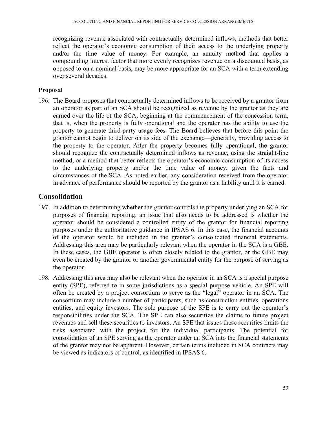recognizing revenue associated with contractually determined inflows, methods that better reflect the operator's economic consumption of their access to the underlying property and/or the time value of money. For example, an annuity method that applies a compounding interest factor that more evenly recognizes revenue on a discounted basis, as opposed to on a nominal basis, may be more appropriate for an SCA with a term extending over several decades.

## **Proposal**

196. The Board proposes that contractually determined inflows to be received by a grantor from an operator as part of an SCA should be recognized as revenue by the grantor as they are earned over the life of the SCA, beginning at the commencement of the concession term, that is, when the property is fully operational and the operator has the ability to use the property to generate third-party usage fees. The Board believes that before this point the grantor cannot begin to deliver on its side of the exchange—generally, providing access to the property to the operator. After the property becomes fully operational, the grantor should recognize the contractually determined inflows as revenue, using the straight-line method, or a method that better reflects the operator's economic consumption of its access to the underlying property and/or the time value of money, given the facts and circumstances of the SCA. As noted earlier, any consideration received from the operator in advance of performance should be reported by the grantor as a liability until it is earned.

# **Consolidation**

- 197. In addition to determining whether the grantor controls the property underlying an SCA for purposes of financial reporting, an issue that also needs to be addressed is whether the operator should be considered a controlled entity of the grantor for financial reporting purposes under the authoritative guidance in IPSAS 6. In this case, the financial accounts of the operator would be included in the grantor's consolidated financial statements. Addressing this area may be particularly relevant when the operator in the SCA is a GBE. In these cases, the GBE operator is often closely related to the grantor, or the GBE may even be created by the grantor or another governmental entity for the purpose of serving as the operator.
- 198. Addressing this area may also be relevant when the operator in an SCA is a special purpose entity (SPE), referred to in some jurisdictions as a special purpose vehicle. An SPE will often be created by a project consortium to serve as the "legal" operator in an SCA. The consortium may include a number of participants, such as construction entities, operations entities, and equity investors. The sole purpose of the SPE is to carry out the operator's responsibilities under the SCA. The SPE can also securitize the claims to future project revenues and sell these securities to investors. An SPE that issues these securities limits the risks associated with the project for the individual participants. The potential for consolidation of an SPE serving as the operator under an SCA into the financial statements of the grantor may not be apparent. However, certain terms included in SCA contracts may be viewed as indicators of control, as identified in IPSAS 6.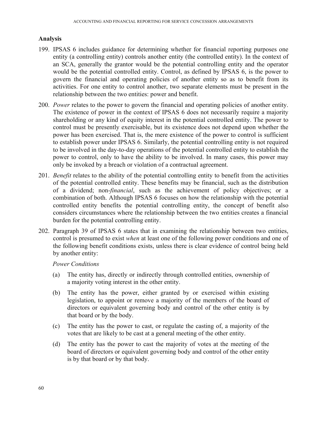### **Analysis**

- 199. IPSAS 6 includes guidance for determining whether for financial reporting purposes one entity (a controlling entity) controls another entity (the controlled entity). In the context of an SCA, generally the grantor would be the potential controlling entity and the operator would be the potential controlled entity. Control, as defined by IPSAS 6, is the power to govern the financial and operating policies of another entity so as to benefit from its activities. For one entity to control another, two separate elements must be present in the relationship between the two entities: power and benefit.
- 200. *Power* relates to the power to govern the financial and operating policies of another entity. The existence of power in the context of IPSAS 6 does not necessarily require a majority shareholding or any kind of equity interest in the potential controlled entity. The power to control must be presently exercisable, but its existence does not depend upon whether the power has been exercised. That is, the mere existence of the power to control is sufficient to establish power under IPSAS 6. Similarly, the potential controlling entity is not required to be involved in the day-to-day operations of the potential controlled entity to establish the power to control, only to have the ability to be involved. In many cases, this power may only be invoked by a breach or violation of a contractual agreement.
- 201. *Benefit* relates to the ability of the potential controlling entity to benefit from the activities of the potential controlled entity. These benefits may be financial, such as the distribution of a dividend; non-*financial*, such as the achievement of policy objectives; or a combination of both. Although IPSAS 6 focuses on how the relationship with the potential controlled entity benefits the potential controlling entity, the concept of benefit also considers circumstances where the relationship between the two entities creates a financial burden for the potential controlling entity.
- 202. Paragraph 39 of IPSAS 6 states that in examining the relationship between two entities, control is presumed to exist *when* at least one of the following power conditions and one of the following benefit conditions exists, unless there is clear evidence of control being held by another entity:

#### *Power Conditions*

- (a) The entity has, directly or indirectly through controlled entities, ownership of a majority voting interest in the other entity.
- (b) The entity has the power, either granted by or exercised within existing legislation, to appoint or remove a majority of the members of the board of directors or equivalent governing body and control of the other entity is by that board or by the body.
- (c) The entity has the power to cast, or regulate the casting of, a majority of the votes that are likely to be cast at a general meeting of the other entity.
- (d) The entity has the power to cast the majority of votes at the meeting of the board of directors or equivalent governing body and control of the other entity is by that board or by that body.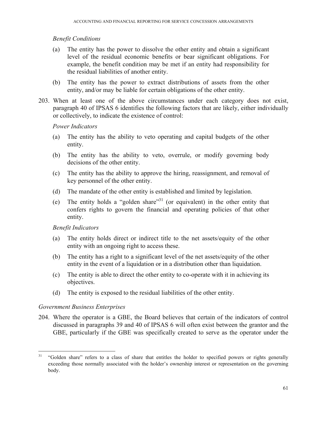### *Benefit Conditions*

- (a) The entity has the power to dissolve the other entity and obtain a significant level of the residual economic benefits or bear significant obligations. For example, the benefit condition may be met if an entity had responsibility for the residual liabilities of another entity.
- (b) The entity has the power to extract distributions of assets from the other entity, and/or may be liable for certain obligations of the other entity.
- 203. When at least one of the above circumstances under each category does not exist, paragraph 40 of IPSAS 6 identifies the following factors that are likely, either individually or collectively, to indicate the existence of control:

### *Power Indicators*

- (a) The entity has the ability to veto operating and capital budgets of the other entity.
- (b) The entity has the ability to veto, overrule, or modify governing body decisions of the other entity.
- (c) The entity has the ability to approve the hiring, reassignment, and removal of key personnel of the other entity.
- (d) The mandate of the other entity is established and limited by legislation.
- (e) The entity holds a "golden share"31 (or equivalent) in the other entity that confers rights to govern the financial and operating policies of that other entity.

### *Benefit Indicators*

- (a) The entity holds direct or indirect title to the net assets/equity of the other entity with an ongoing right to access these.
- (b) The entity has a right to a significant level of the net assets/equity of the other entity in the event of a liquidation or in a distribution other than liquidation.
- (c) The entity is able to direct the other entity to co-operate with it in achieving its objectives.
- (d) The entity is exposed to the residual liabilities of the other entity.

### *Government Business Enterprises*

 $\overline{a}$ 

204. Where the operator is a GBE, the Board believes that certain of the indicators of control discussed in paragraphs 39 and 40 of IPSAS 6 will often exist between the grantor and the GBE, particularly if the GBE was specifically created to serve as the operator under the

<sup>&</sup>lt;sup>31</sup> "Golden share" refers to a class of share that entitles the holder to specified powers or rights generally exceeding those normally associated with the holder's ownership interest or representation on the governing body.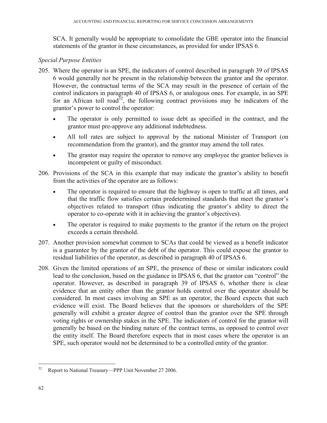SCA. It generally would be appropriate to consolidate the GBE operator into the financial statements of the grantor in these circumstances, as provided for under IPSAS 6.

### *Special Purpose Entities*

- 205. Where the operator is an SPE, the indicators of control described in paragraph 39 of IPSAS 6 would generally not be present in the relationship between the grantor and the operator. However, the contractual terms of the SCA may result in the presence of certain of the control indicators in paragraph 40 of IPSAS 6, or analogous ones. For example, in an SPE for an African toll road<sup>32</sup>, the following contract provisions may be indicators of the grantor's power to control the operator:
	- The operator is only permitted to issue debt as specified in the contract, and the grantor must pre-approve any additional indebtedness.
	- All toll rates are subject to approval by the national Minister of Transport (on recommendation from the grantor), and the grantor may amend the toll rates.
	- The grantor may require the operator to remove any employee the grantor believes is incompetent or guilty of misconduct.
- 206. Provisions of the SCA in this example that may indicate the grantor's ability to benefit from the activities of the operator are as follows:
	- The operator is required to ensure that the highway is open to traffic at all times, and that the traffic flow satisfies certain predetermined standards that meet the grantor's objectives related to transport (thus indicating the grantor's ability to direct the operator to co-operate with it in achieving the grantor's objectives).
	- The operator is required to make payments to the grantor if the return on the project exceeds a certain threshold.
- 207. Another provision somewhat common to SCAs that could be viewed as a benefit indicator is a guarantee by the grantor of the debt of the operator. This could expose the grantor to residual liabilities of the operator, as described in paragraph 40 of IPSAS 6.
- 208. Given the limited operations of an SPE, the presence of these or similar indicators could lead to the conclusion, based on the guidance in IPSAS 6, that the grantor can "control" the operator. However, as described in paragraph 39 of IPSAS 6, whether there is clear evidence that an entity other than the grantor holds control over the operator should be considered. In most cases involving an SPE as an operator, the Board expects that such evidence will exist. The Board believes that the sponsors or shareholders of the SPE generally will exhibit a greater degree of control than the grantor over the SPE through voting rights or ownership stakes in the SPE. The indicators of control for the grantor will generally be based on the binding nature of the contract terms, as opposed to control over the entity itself. The Board therefore expects that in most cases where the operator is an SPE, such operator would not be determined to be a controlled entity of the grantor.

<sup>1</sup> 32 Report to National Treasury—PPP Unit November 27 2006.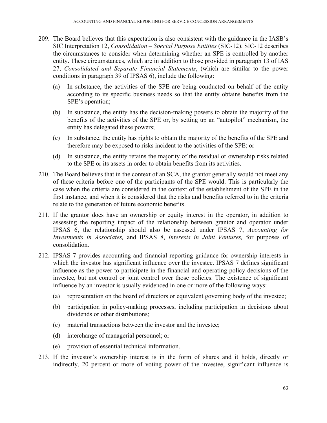- 209. The Board believes that this expectation is also consistent with the guidance in the IASB's SIC Interpretation 12, *Consolidation – Special Purpose Entities* (SIC-12). SIC-12 describes the circumstances to consider when determining whether an SPE is controlled by another entity. These circumstances, which are in addition to those provided in paragraph 13 of IAS 27, *Consolidated and Separate Financial Statements*, (which are similar to the power conditions in paragraph 39 of IPSAS 6), include the following:
	- (a) In substance, the activities of the SPE are being conducted on behalf of the entity according to its specific business needs so that the entity obtains benefits from the SPE's operation;
	- (b) In substance, the entity has the decision-making powers to obtain the majority of the benefits of the activities of the SPE or, by setting up an "autopilot" mechanism, the entity has delegated these powers;
	- (c) In substance, the entity has rights to obtain the majority of the benefits of the SPE and therefore may be exposed to risks incident to the activities of the SPE; or
	- (d) In substance, the entity retains the majority of the residual or ownership risks related to the SPE or its assets in order to obtain benefits from its activities.
- 210. The Board believes that in the context of an SCA, the grantor generally would not meet any of these criteria before one of the participants of the SPE would. This is particularly the case when the criteria are considered in the context of the establishment of the SPE in the first instance, and when it is considered that the risks and benefits referred to in the criteria relate to the generation of future economic benefits.
- 211. If the grantor does have an ownership or equity interest in the operator, in addition to assessing the reporting impact of the relationship between grantor and operator under IPSAS 6, the relationship should also be assessed under IPSAS 7, *Accounting for Investments in Associates,* and IPSAS 8, *Interests in Joint Ventures,* for purposes of consolidation.
- 212. IPSAS 7 provides accounting and financial reporting guidance for ownership interests in which the investor has significant influence over the investee. IPSAS 7 defines significant influence as the power to participate in the financial and operating policy decisions of the investee, but not control or joint control over those policies. The existence of significant influence by an investor is usually evidenced in one or more of the following ways:
	- (a) representation on the board of directors or equivalent governing body of the investee;
	- (b) participation in policy-making processes, including participation in decisions about dividends or other distributions;
	- (c) material transactions between the investor and the investee;
	- (d) interchange of managerial personnel; or
	- (e) provision of essential technical information.
- 213. If the investor's ownership interest is in the form of shares and it holds, directly or indirectly, 20 percent or more of voting power of the investee, significant influence is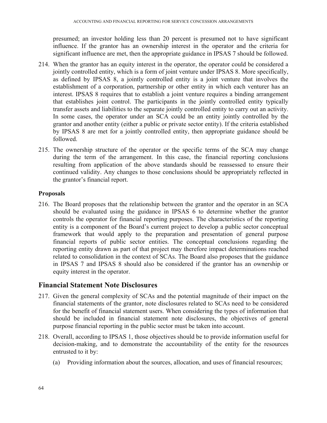presumed; an investor holding less than 20 percent is presumed not to have significant influence. If the grantor has an ownership interest in the operator and the criteria for significant influence are met, then the appropriate guidance in IPSAS 7 should be followed.

- 214. When the grantor has an equity interest in the operator, the operator could be considered a jointly controlled entity, which is a form of joint venture under IPSAS 8. More specifically, as defined by IPSAS 8, a jointly controlled entity is a joint venture that involves the establishment of a corporation, partnership or other entity in which each venturer has an interest. IPSAS 8 requires that to establish a joint venture requires a binding arrangement that establishes joint control. The participants in the jointly controlled entity typically transfer assets and liabilities to the separate jointly controlled entity to carry out an activity. In some cases, the operator under an SCA could be an entity jointly controlled by the grantor and another entity (either a public or private sector entity). If the criteria established by IPSAS 8 are met for a jointly controlled entity, then appropriate guidance should be followed.
- 215. The ownership structure of the operator or the specific terms of the SCA may change during the term of the arrangement. In this case, the financial reporting conclusions resulting from application of the above standards should be reassessed to ensure their continued validity. Any changes to those conclusions should be appropriately reflected in the grantor's financial report.

## **Proposals**

216. The Board proposes that the relationship between the grantor and the operator in an SCA should be evaluated using the guidance in IPSAS 6 to determine whether the grantor controls the operator for financial reporting purposes. The characteristics of the reporting entity is a component of the Board's current project to develop a public sector conceptual framework that would apply to the preparation and presentation of general purpose financial reports of public sector entities. The conceptual conclusions regarding the reporting entity drawn as part of that project may therefore impact determinations reached related to consolidation in the context of SCAs. The Board also proposes that the guidance in IPSAS 7 and IPSAS 8 should also be considered if the grantor has an ownership or equity interest in the operator.

## **Financial Statement Note Disclosures**

- 217. Given the general complexity of SCAs and the potential magnitude of their impact on the financial statements of the grantor, note disclosures related to SCAs need to be considered for the benefit of financial statement users. When considering the types of information that should be included in financial statement note disclosures, the objectives of general purpose financial reporting in the public sector must be taken into account.
- 218. Overall, according to IPSAS 1, those objectives should be to provide information useful for decision-making, and to demonstrate the accountability of the entity for the resources entrusted to it by:
	- (a) Providing information about the sources, allocation, and uses of financial resources;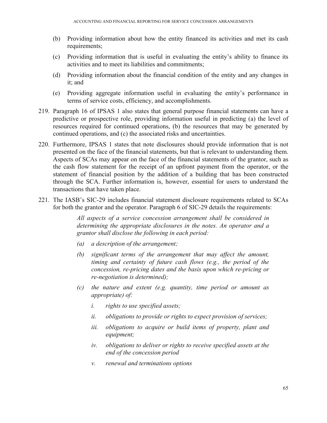- (b) Providing information about how the entity financed its activities and met its cash requirements;
- (c) Providing information that is useful in evaluating the entity's ability to finance its activities and to meet its liabilities and commitments;
- (d) Providing information about the financial condition of the entity and any changes in it; and
- (e) Providing aggregate information useful in evaluating the entity's performance in terms of service costs, efficiency, and accomplishments.
- 219. Paragraph 16 of IPSAS 1 also states that general purpose financial statements can have a predictive or prospective role, providing information useful in predicting (a) the level of resources required for continued operations, (b) the resources that may be generated by continued operations, and (c) the associated risks and uncertainties.
- 220. Furthermore, IPSAS 1 states that note disclosures should provide information that is not presented on the face of the financial statements, but that is relevant to understanding them. Aspects of SCAs may appear on the face of the financial statements of the grantor, such as the cash flow statement for the receipt of an upfront payment from the operator, or the statement of financial position by the addition of a building that has been constructed through the SCA. Further information is, however, essential for users to understand the transactions that have taken place.
- 221. The IASB's SIC-29 includes financial statement disclosure requirements related to SCAs for both the grantor and the operator. Paragraph 6 of SIC-29 details the requirements:

*All aspects of a service concession arrangement shall be considered in determining the appropriate disclosures in the notes. An operator and a grantor shall disclose the following in each period:* 

- *(a) a description of the arrangement;*
- *(b) significant terms of the arrangement that may affect the amount, timing and certainty of future cash flows (e.g., the period of the concession, re-pricing dates and the basis upon which re-pricing or re-negotiation is determined);*
- *(c) the nature and extent (e.g. quantity, time period or amount as appropriate) of:* 
	- *i. rights to use specified assets;*
	- *ii. obligations to provide or rights to expect provision of services;*
	- *iii. obligations to acquire or build items of property, plant and equipment;*
	- *iv. obligations to deliver or rights to receive specified assets at the end of the concession period*
	- *v. renewal and terminations options*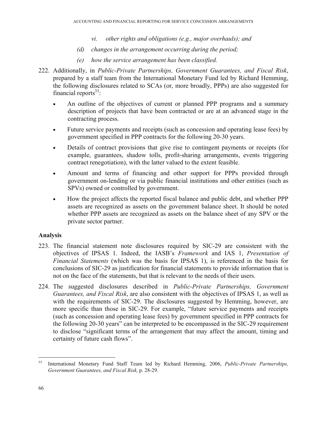- *vi. other rights and obligations (e.g., major overhauls); and*
- *(d) changes in the arrangement occurring during the period;*
- *(e) how the service arrangement has been classified.*
- 222. Additionally, in *Public-Private Partnerships, Government Guarantees, and Fiscal Risk*, prepared by a staff team from the International Monetary Fund led by Richard Hemming, the following disclosures related to SCAs (or, more broadly, PPPs) are also suggested for financial reports $33$ :
	- An outline of the objectives of current or planned PPP programs and a summary description of projects that have been contracted or are at an advanced stage in the contracting process.
	- Future service payments and receipts (such as concession and operating lease fees) by government specified in PPP contracts for the following 20-30 years.
	- Details of contract provisions that give rise to contingent payments or receipts (for example, guarantees, shadow tolls, profit-sharing arrangements, events triggering contract renegotiation), with the latter valued to the extent feasible.
	- Amount and terms of financing and other support for PPPs provided through government on-lending or via public financial institutions and other entities (such as SPVs) owned or controlled by government.
	- How the project affects the reported fiscal balance and public debt, and whether PPP assets are recognized as assets on the government balance sheet. It should be noted whether PPP assets are recognized as assets on the balance sheet of any SPV or the private sector partner.

## **Analysis**

- 223. The financial statement note disclosures required by SIC-29 are consistent with the objectives of IPSAS 1. Indeed, the IASB's *Framework* and IAS 1, *Presentation of Financial Statements* (which was the basis for IPSAS 1), is referenced in the basis for conclusions of SIC-29 as justification for financial statements to provide information that is not on the face of the statements, but that is relevant to the needs of their users.
- 224. The suggested disclosures described in *Public-Private Partnerships, Government Guarantees, and Fiscal Risk*, are also consistent with the objectives of IPSAS 1, as well as with the requirements of SIC-29. The disclosures suggested by Hemming, however, are more specific than those in SIC-29. For example, "future service payments and receipts (such as concession and operating lease fees) by government specified in PPP contracts for the following 20-30 years" can be interpreted to be encompassed in the SIC-29 requirement to disclose "significant terms of the arrangement that may affect the amount, timing and certainty of future cash flows".

1

<sup>33</sup> International Monetary Fund Staff Team led by Richard Hemming, 2006, *Public-Private Partnerships, Government Guarantees, and Fiscal Risk,* p. 28-29.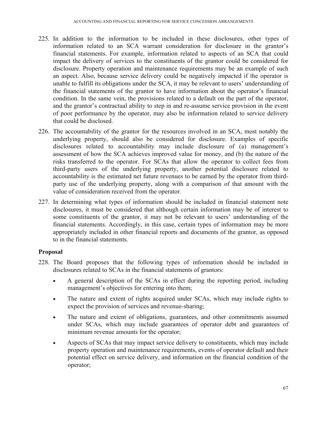- 225. In addition to the information to be included in these disclosures, other types of information related to an SCA warrant consideration for disclosure in the grantor's financial statements. For example, information related to aspects of an SCA that could impact the delivery of services to the constituents of the grantor could be considered for disclosure. Property operation and maintenance requirements may be an example of such an aspect. Also, because service delivery could be negatively impacted if the operator is unable to fulfill its obligations under the SCA, it may be relevant to users' understanding of the financial statements of the grantor to have information about the operator's financial condition. In the same vein, the provisions related to a default on the part of the operator, and the grantor's contractual ability to step in and re-assume service provision in the event of poor performance by the operator, may also be information related to service delivery that could be disclosed.
- 226. The accountability of the grantor for the resources involved in an SCA, most notably the underlying property, should also be considered for disclosure. Examples of specific disclosures related to accountability may include disclosure of (a) management's assessment of how the SCA achieves improved value for money, and (b) the nature of the risks transferred to the operator. For SCAs that allow the operator to collect fees from third-party users of the underlying property, another potential disclosure related to accountability is the estimated net future revenues to be earned by the operator from thirdparty use of the underlying property, along with a comparison of that amount with the value of consideration received from the operator.
- 227. In determining what types of information should be included in financial statement note disclosures, it must be considered that although certain information may be of interest to some constituents of the grantor, it may not be relevant to users' understanding of the financial statements. Accordingly, in this case, certain types of information may be more appropriately included in other financial reports and documents of the grantor, as opposed to in the financial statements.

## **Proposal**

- 228. The Board proposes that the following types of information should be included in disclosures related to SCAs in the financial statements of grantors:
	- A general description of the SCAs in effect during the reporting period, including management's objectives for entering into them;
	- The nature and extent of rights acquired under SCAs, which may include rights to expect the provision of services and revenue-sharing;
	- The nature and extent of obligations, guarantees, and other commitments assumed under SCAs, which may include guarantees of operator debt and guarantees of minimum revenue amounts for the operator;
	- Aspects of SCAs that may impact service delivery to constituents, which may include property operation and maintenance requirements, events of operator default and their potential effect on service delivery, and information on the financial condition of the operator;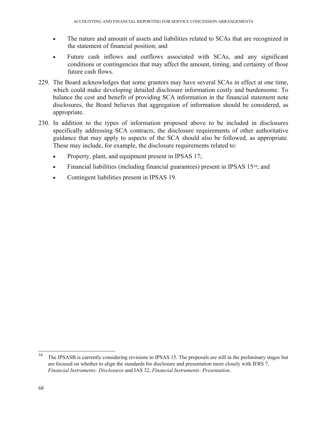- The nature and amount of assets and liabilities related to SCAs that are recognized in the statement of financial position; and
- Future cash inflows and outflows associated with SCAs, and any significant conditions or contingencies that may affect the amount, timing, and certainty of those future cash flows.
- 229. The Board acknowledges that some grantors may have several SCAs in effect at one time, which could make developing detailed disclosure information costly and burdensome. To balance the cost and benefit of providing SCA information in the financial statement note disclosures, the Board believes that aggregation of information should be considered, as appropriate.
- 230. In addition to the types of information proposed above to be included in disclosures specifically addressing SCA contracts, the disclosure requirements of other authoritative guidance that may apply to aspects of the SCA should also be followed, as appropriate. These may include, for example, the disclosure requirements related to:
	- Property, plant, and equipment present in IPSAS 17;
	- Financial liabilities (including financial guarantees) present in IPSAS 15<sup>34</sup>; and
	- Contingent liabilities present in IPSAS 19.

<sup>34</sup> The IPSASB is currently considering revisions to IPSAS 15. The proposals are still in the preliminary stages but are focused on whether to align the standards for disclosure and presentation more closely with IFRS 7, *Financial Instruments: Disclosures* and IAS 32, *Financial Instruments: Presentation*.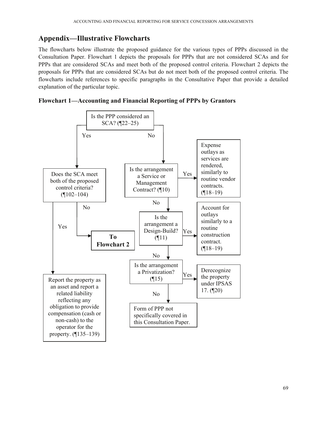# **Appendix—Illustrative Flowcharts**

The flowcharts below illustrate the proposed guidance for the various types of PPPs discussed in the Consultation Paper. Flowchart 1 depicts the proposals for PPPs that are not considered SCAs and for PPPs that are considered SCAs and meet both of the proposed control criteria. Flowchart 2 depicts the proposals for PPPs that are considered SCAs but do not meet both of the proposed control criteria. The flowcharts include references to specific paragraphs in the Consultative Paper that provide a detailed explanation of the particular topic.



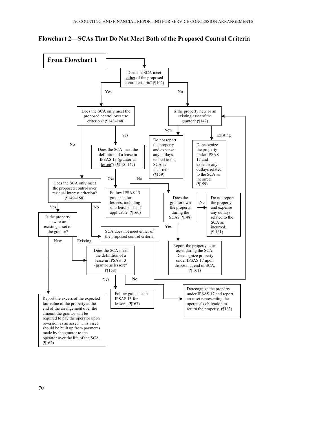**Flowchart 2—SCAs That Do Not Meet Both of the Proposed Control Criteria**